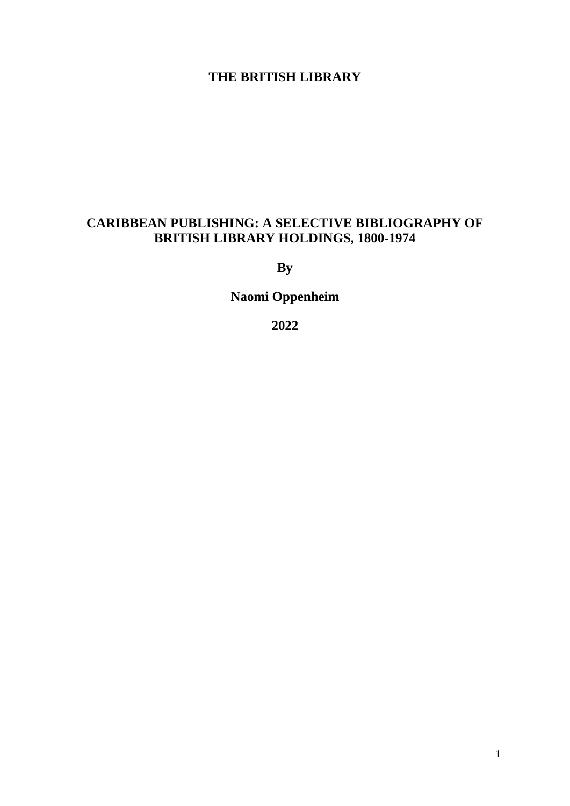# **THE BRITISH LIBRARY**

# **CARIBBEAN PUBLISHING: A SELECTIVE BIBLIOGRAPHY OF BRITISH LIBRARY HOLDINGS, 1800-1974**

**By** 

**Naomi Oppenheim**

**2022**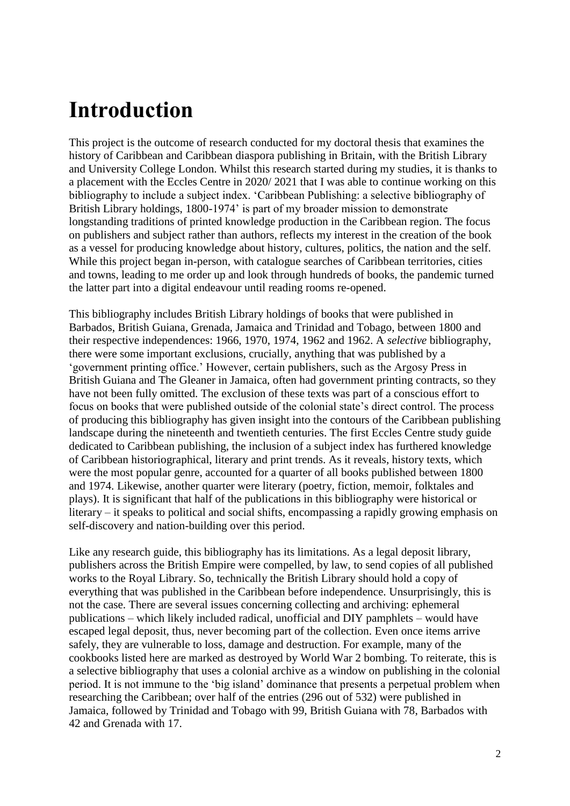# <span id="page-1-0"></span>**Introduction**

This project is the outcome of research conducted for my doctoral thesis that examines the history of Caribbean and Caribbean diaspora publishing in Britain, with the British Library and University College London. Whilst this research started during my studies, it is thanks to a placement with the Eccles Centre in 2020/ 2021 that I was able to continue working on this bibliography to include a subject index. 'Caribbean Publishing: a selective bibliography of British Library holdings, 1800-1974' is part of my broader mission to demonstrate longstanding traditions of printed knowledge production in the Caribbean region. The focus on publishers and subject rather than authors, reflects my interest in the creation of the book as a vessel for producing knowledge about history, cultures, politics, the nation and the self. While this project began in-person, with catalogue searches of Caribbean territories, cities and towns, leading to me order up and look through hundreds of books, the pandemic turned the latter part into a digital endeavour until reading rooms re-opened.

This bibliography includes British Library holdings of books that were published in Barbados, British Guiana, Grenada, Jamaica and Trinidad and Tobago, between 1800 and their respective independences: 1966, 1970, 1974, 1962 and 1962. A *selective* bibliography, there were some important exclusions, crucially, anything that was published by a 'government printing office.' However, certain publishers, such as the Argosy Press in British Guiana and The Gleaner in Jamaica, often had government printing contracts, so they have not been fully omitted. The exclusion of these texts was part of a conscious effort to focus on books that were published outside of the colonial state's direct control. The process of producing this bibliography has given insight into the contours of the Caribbean publishing landscape during the nineteenth and twentieth centuries. The first Eccles Centre study guide dedicated to Caribbean publishing, the inclusion of a subject index has furthered knowledge of Caribbean historiographical, literary and print trends. As it reveals, history texts, which were the most popular genre, accounted for a quarter of all books published between 1800 and 1974. Likewise, another quarter were literary (poetry, fiction, memoir, folktales and plays). It is significant that half of the publications in this bibliography were historical or literary – it speaks to political and social shifts, encompassing a rapidly growing emphasis on self-discovery and nation-building over this period.

Like any research guide, this bibliography has its limitations. As a legal deposit library, publishers across the British Empire were compelled, by law, to send copies of all published works to the Royal Library. So, technically the British Library should hold a copy of everything that was published in the Caribbean before independence. Unsurprisingly, this is not the case. There are several issues concerning collecting and archiving: ephemeral publications – which likely included radical, unofficial and DIY pamphlets – would have escaped legal deposit, thus, never becoming part of the collection. Even once items arrive safely, they are vulnerable to loss, damage and destruction. For example, many of the cookbooks listed here are marked as destroyed by World War 2 bombing. To reiterate, this is a selective bibliography that uses a colonial archive as a window on publishing in the colonial period. It is not immune to the 'big island' dominance that presents a perpetual problem when researching the Caribbean; over half of the entries (296 out of 532) were published in Jamaica, followed by Trinidad and Tobago with 99, British Guiana with 78, Barbados with 42 and Grenada with 17.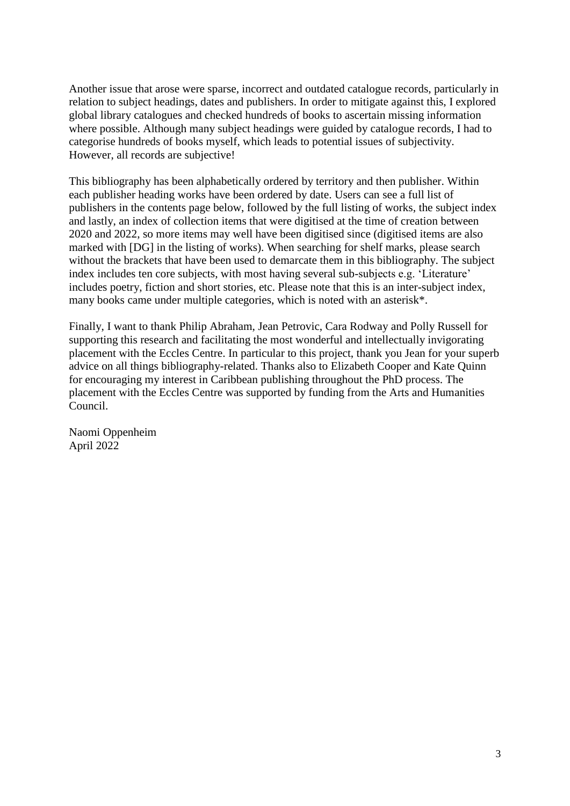Another issue that arose were sparse, incorrect and outdated catalogue records, particularly in relation to subject headings, dates and publishers. In order to mitigate against this, I explored global library catalogues and checked hundreds of books to ascertain missing information where possible. Although many subject headings were guided by catalogue records, I had to categorise hundreds of books myself, which leads to potential issues of subjectivity. However, all records are subjective!

This bibliography has been alphabetically ordered by territory and then publisher. Within each publisher heading works have been ordered by date. Users can see a full list of publishers in the contents page below, followed by the full listing of works, the subject index and lastly, an index of collection items that were digitised at the time of creation between 2020 and 2022, so more items may well have been digitised since (digitised items are also marked with [DG] in the listing of works). When searching for shelf marks, please search without the brackets that have been used to demarcate them in this bibliography. The subject index includes ten core subjects, with most having several sub-subjects e.g. 'Literature' includes poetry, fiction and short stories, etc. Please note that this is an inter-subject index, many books came under multiple categories, which is noted with an asterisk\*.

Finally, I want to thank Philip Abraham, Jean Petrovic, Cara Rodway and Polly Russell for supporting this research and facilitating the most wonderful and intellectually invigorating placement with the Eccles Centre. In particular to this project, thank you Jean for your superb advice on all things bibliography-related. Thanks also to Elizabeth Cooper and Kate Quinn for encouraging my interest in Caribbean publishing throughout the PhD process. The placement with the Eccles Centre was supported by funding from the Arts and Humanities Council.

Naomi Oppenheim April 2022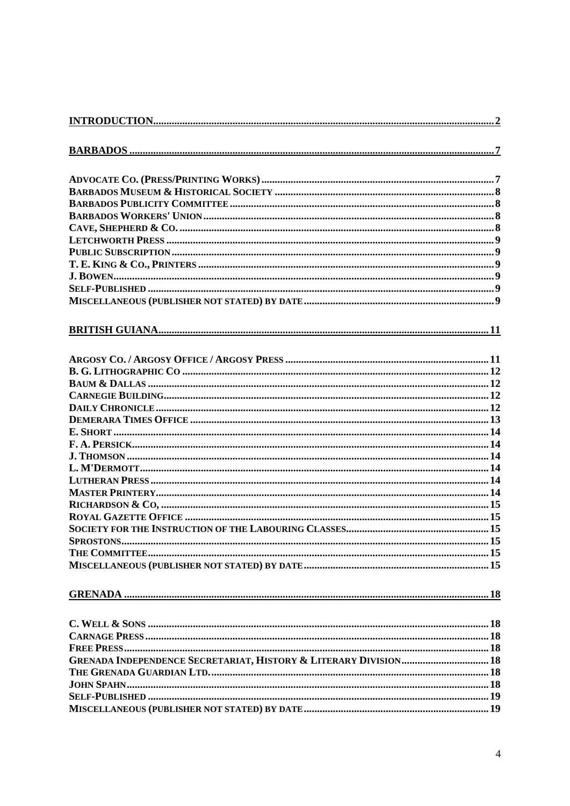| <b>SPROSTONS.</b>                                                           |  |
|-----------------------------------------------------------------------------|--|
|                                                                             |  |
|                                                                             |  |
|                                                                             |  |
|                                                                             |  |
|                                                                             |  |
|                                                                             |  |
|                                                                             |  |
| <b>GRENADA INDEPENDENCE SECRETARIAT, HISTORY &amp; LITERARY DIVISION 18</b> |  |
|                                                                             |  |
|                                                                             |  |
|                                                                             |  |
|                                                                             |  |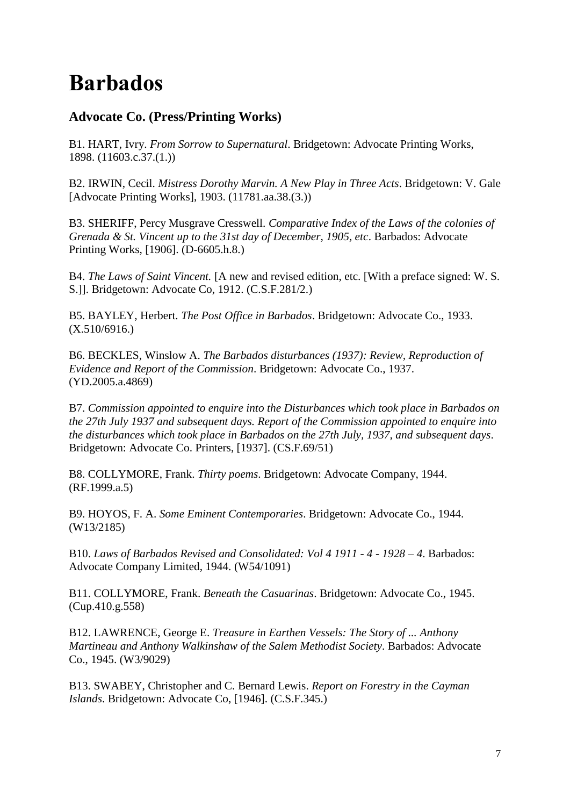# <span id="page-6-0"></span>**Barbados**

# <span id="page-6-1"></span>**Advocate Co. (Press/Printing Works)**

B1. HART, Ivry. *From Sorrow to Supernatural*. Bridgetown: Advocate Printing Works, 1898. (11603.c.37.(1.))

B2. IRWIN, Cecil. *Mistress Dorothy Marvin. A New Play in Three Acts*. Bridgetown: V. Gale [Advocate Printing Works], 1903. (11781.aa.38.(3.))

B3. SHERIFF, Percy Musgrave Cresswell. *Comparative Index of the Laws of the colonies of Grenada & St. Vincent up to the 31st day of December, 1905, etc*. Barbados: Advocate Printing Works, [1906]. (D-6605.h.8.)

B4. *The Laws of Saint Vincent.* [A new and revised edition, etc. [With a preface signed: W. S. S.]]. Bridgetown: Advocate Co, 1912. (C.S.F.281/2.)

B5. BAYLEY, Herbert. *The Post Office in Barbados*. Bridgetown: Advocate Co., 1933. (X.510/6916.)

B6. BECKLES*,* Winslow A. *The Barbados disturbances (1937): Review, Reproduction of Evidence and Report of the Commission*. Bridgetown: Advocate Co., 1937. (YD.2005.a.4869)

B7. *Commission appointed to enquire into the Disturbances which took place in Barbados on the 27th July 1937 and subsequent days. Report of the Commission appointed to enquire into the disturbances which took place in Barbados on the 27th July, 1937, and subsequent days*. Bridgetown: Advocate Co. Printers, [1937]. (CS.F.69/51)

B8. COLLYMORE, Frank. *Thirty poems*. Bridgetown: Advocate Company, 1944. (RF.1999.a.5)

B9. HOYOS, F. A. *Some Eminent Contemporaries*. Bridgetown: Advocate Co., 1944. (W13/2185)

B10. *Laws of Barbados Revised and Consolidated: Vol 4 1911 - 4 - 1928 – 4*. Barbados: Advocate Company Limited, 1944. (W54/1091)

B11. COLLYMORE, Frank. *Beneath the Casuarinas*. Bridgetown: Advocate Co., 1945. (Cup.410.g.558)

B12. LAWRENCE, George E. *Treasure in Earthen Vessels: The Story of ... Anthony Martineau and Anthony Walkinshaw of the Salem Methodist Society*. Barbados: Advocate Co., 1945. (W3/9029)

B13. SWABEY, Christopher and C. Bernard Lewis. *Report on Forestry in the Cayman Islands*. Bridgetown: Advocate Co, [1946]. (C.S.F.345.)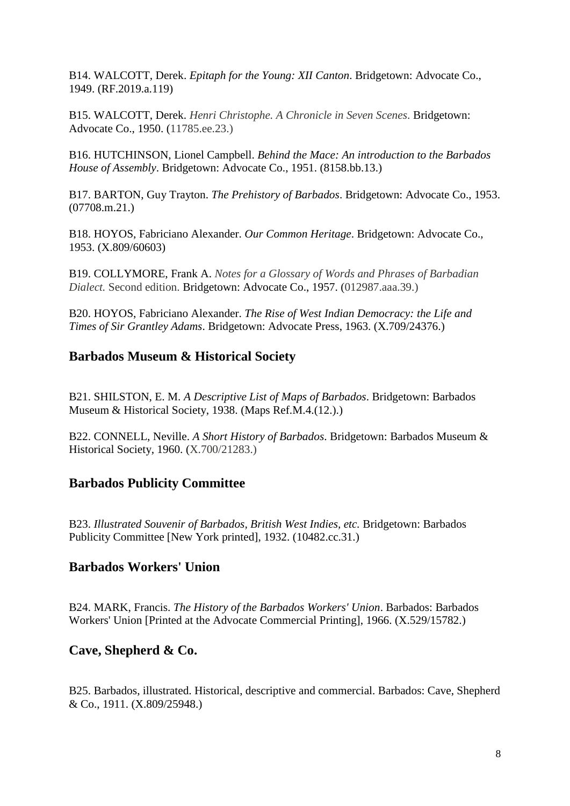B14. WALCOTT, Derek. *Epitaph for the Young: XII Canton*. Bridgetown: Advocate Co., 1949. (RF.2019.a.119)

B15. WALCOTT, Derek. *Henri Christophe. A Chronicle in Seven Scenes*. Bridgetown: Advocate Co., 1950. (11785.ee.23.)

B16. HUTCHINSON, Lionel Campbell. *Behind the Mace: An introduction to the Barbados House of Assembly*. Bridgetown: Advocate Co., 1951. (8158.bb.13.)

B17. BARTON, Guy Trayton. *The Prehistory of Barbados*. Bridgetown: Advocate Co., 1953. (07708.m.21.)

B18. HOYOS, Fabriciano Alexander. *Our Common Heritage*. Bridgetown: Advocate Co., 1953. (X.809/60603)

B19. COLLYMORE, Frank A. *Notes for a Glossary of Words and Phrases of Barbadian Dialect.* Second edition. Bridgetown: Advocate Co., 1957. (012987.aaa.39.)

B20. HOYOS, Fabriciano Alexander. *The Rise of West Indian Democracy: the Life and Times of Sir Grantley Adams*. Bridgetown: Advocate Press, 1963. (X.709/24376.)

#### <span id="page-7-0"></span>**Barbados Museum & Historical Society**

B21. SHILSTON, E. M. *A Descriptive List of Maps of Barbados*. Bridgetown: Barbados Museum & Historical Society, 1938. (Maps Ref.M.4.(12.).)

B22. CONNELL, Neville. *A Short History of Barbados*. Bridgetown: Barbados Museum & Historical Society, 1960. (X.700/21283.)

#### <span id="page-7-1"></span>**Barbados Publicity Committee**

B23. *Illustrated Souvenir of Barbados, British West Indies, etc.* Bridgetown: Barbados Publicity Committee [New York printed], 1932. (10482.cc.31.)

#### <span id="page-7-2"></span>**Barbados Workers' Union**

B24. MARK, Francis. *The History of the Barbados Workers' Union*. Barbados: Barbados Workers' Union [Printed at the Advocate Commercial Printing], 1966. (X.529/15782.)

#### <span id="page-7-3"></span>**Cave, Shepherd & Co.**

B25. Barbados, illustrated. Historical, descriptive and commercial. Barbados: Cave, Shepherd & Co., 1911. (X.809/25948.)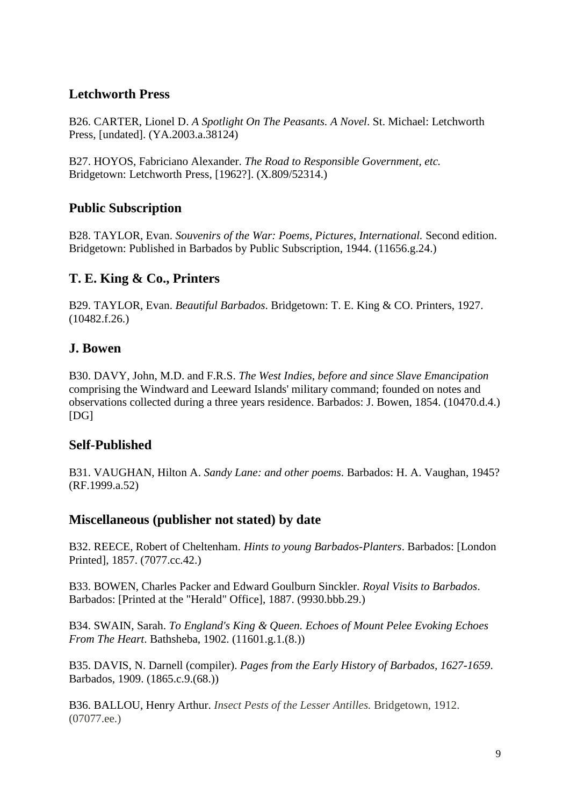# <span id="page-8-0"></span>**Letchworth Press**

B26. CARTER, Lionel D. *A Spotlight On The Peasants. A Novel*. St. Michael: Letchworth Press, [undated]. (YA.2003.a.38124)

B27. HOYOS, Fabriciano Alexander. *The Road to Responsible Government, etc.* Bridgetown: Letchworth Press, [1962?]. (X.809/52314.)

# <span id="page-8-1"></span>**Public Subscription**

B28. TAYLOR, Evan. *Souvenirs of the War: Poems, Pictures, International.* Second edition. Bridgetown: Published in Barbados by Public Subscription, 1944. (11656.g.24.)

# <span id="page-8-2"></span>**T. E. King & Co., Printers**

B29. TAYLOR, Evan. *Beautiful Barbados*. Bridgetown: T. E. King & CO. Printers, 1927. (10482.f.26.)

# <span id="page-8-3"></span>**J. Bowen**

B30. DAVY, John, M.D. and F.R.S. *The West Indies, before and since Slave Emancipation* comprising the Windward and Leeward Islands' military command; founded on notes and observations collected during a three years residence. Barbados: J. Bowen, 1854. (10470.d.4.) [DG]

# <span id="page-8-4"></span>**Self-Published**

B31. VAUGHAN, Hilton A. *Sandy Lane: and other poems*. Barbados: H. A. Vaughan, 1945? (RF.1999.a.52)

# <span id="page-8-5"></span>**Miscellaneous (publisher not stated) by date**

B32. REECE, Robert of Cheltenham. *Hints to young Barbados-Planters*. Barbados: [London Printed], 1857. (7077.cc.42.)

B33. BOWEN, Charles Packer and Edward Goulburn Sinckler. *Royal Visits to Barbados*. Barbados: [Printed at the "Herald" Office], 1887. (9930.bbb.29.)

B34. SWAIN, Sarah. *To England's King & Queen. Echoes of Mount Pelee Evoking Echoes From The Heart*. Bathsheba, 1902. (11601.g.1.(8.))

B35. DAVIS, N. Darnell (compiler). *Pages from the Early History of Barbados, 1627-1659*. Barbados, 1909. (1865.c.9.(68.))

B36. BALLOU, Henry Arthur. *Insect Pests of the Lesser Antilles.* Bridgetown, 1912. (07077.ee.)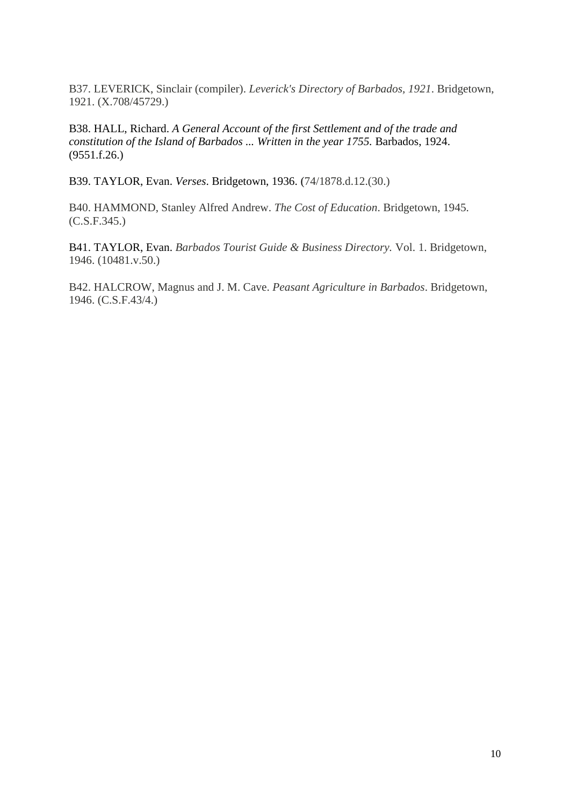B37. LEVERICK, Sinclair (compiler). *Leverick's Directory of Barbados, 1921*. Bridgetown, 1921. (X.708/45729.)

B38. HALL, Richard. *A General Account of the first Settlement and of the trade and constitution of the Island of Barbados ... Written in the year 1755.* Barbados, 1924. (9551.f.26.)

B39. TAYLOR, Evan. *Verses*. Bridgetown, 1936. (74/1878.d.12.(30.)

B40. HAMMOND, Stanley Alfred Andrew. *The Cost of Education*. Bridgetown, 1945. (C.S.F.345.)

B41. TAYLOR, Evan. *Barbados Tourist Guide & Business Directory.* Vol. 1. Bridgetown, 1946. (10481.v.50.)

B42. HALCROW, Magnus and J. M. Cave. *Peasant Agriculture in Barbados*. Bridgetown, 1946. (C.S.F.43/4.)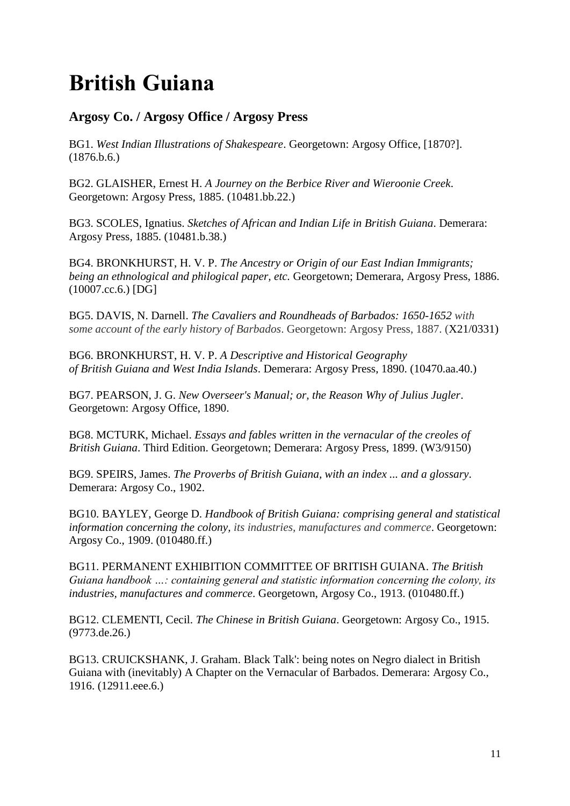# <span id="page-10-0"></span>**British Guiana**

# <span id="page-10-1"></span>**Argosy Co. / Argosy Office / Argosy Press**

BG1. *West Indian Illustrations of Shakespeare*. Georgetown: Argosy Office, [1870?]. (1876.b.6.)

BG2. GLAISHER, Ernest H. *A Journey on the Berbice River and Wieroonie Creek*. Georgetown: Argosy Press, 1885. (10481.bb.22.)

BG3. SCOLES, Ignatius. *Sketches of African and Indian Life in British Guiana*. Demerara: Argosy Press, 1885. (10481.b.38.)

BG4. BRONKHURST, H. V. P. *The Ancestry or Origin of our East Indian Immigrants; being an ethnological and philogical paper, etc.* Georgetown; Demerara, Argosy Press, 1886. (10007.cc.6.) [DG]

BG5. DAVIS, N. Darnell. *The Cavaliers and Roundheads of Barbados: 1650-1652 with some account of the early history of Barbados*. Georgetown: Argosy Press, 1887. (X21/0331)

BG6. BRONKHURST, H. V. P. *A Descriptive and Historical Geography of British Guiana and West India Islands*. Demerara: Argosy Press, 1890. (10470.aa.40.)

BG7. PEARSON, J. G. *New Overseer's Manual; or, the Reason Why of Julius Jugler*. Georgetown: Argosy Office, 1890.

BG8. MCTURK, Michael. *Essays and fables written in the vernacular of the creoles of British Guiana*. Third Edition. Georgetown; Demerara: Argosy Press, 1899. (W3/9150)

BG9. SPEIRS, James. *The Proverbs of British Guiana, with an index ... and a glossary*. Demerara: Argosy Co., 1902.

BG10. BAYLEY, George D. *Handbook of British Guiana: comprising general and statistical information concerning the colony, its industries, manufactures and commerce*. Georgetown: Argosy Co., 1909. (010480.ff.)

BG11. PERMANENT EXHIBITION COMMITTEE OF BRITISH GUIANA. *The British Guiana handbook …: containing general and statistic information concerning the colony, its industries, manufactures and commerce*. Georgetown, Argosy Co., 1913. (010480.ff.)

BG12. CLEMENTI, Cecil. *The Chinese in British Guiana*. Georgetown: Argosy Co., 1915. (9773.de.26.)

BG13. CRUICKSHANK, J. Graham. Black Talk': being notes on Negro dialect in British Guiana with (inevitably) A Chapter on the Vernacular of Barbados. Demerara: Argosy Co., 1916. (12911.eee.6.)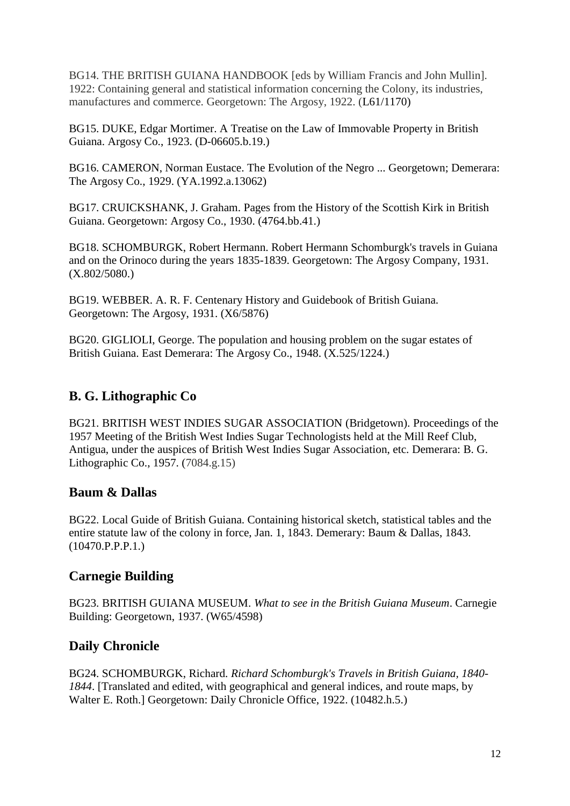BG14. THE BRITISH GUIANA HANDBOOK [eds by William Francis and John Mullin]. 1922: Containing general and statistical information concerning the Colony, its industries, manufactures and commerce. Georgetown: The Argosy, 1922. (L61/1170)

BG15. DUKE, Edgar Mortimer. A Treatise on the Law of Immovable Property in British Guiana. Argosy Co., 1923. (D-06605.b.19.)

BG16. CAMERON, Norman Eustace. The Evolution of the Negro ... Georgetown; Demerara: The Argosy Co., 1929. (YA.1992.a.13062)

BG17. CRUICKSHANK, J. Graham. Pages from the History of the Scottish Kirk in British Guiana. Georgetown: Argosy Co., 1930. (4764.bb.41.)

BG18. SCHOMBURGK, Robert Hermann. Robert Hermann Schomburgk's travels in Guiana and on the Orinoco during the years 1835-1839. Georgetown: The Argosy Company, 1931. (X.802/5080.)

BG19. WEBBER. A. R. F. Centenary History and Guidebook of British Guiana. Georgetown: The Argosy, 1931. (X6/5876)

BG20. GIGLIOLI, George. The population and housing problem on the sugar estates of British Guiana. East Demerara: The Argosy Co., 1948. (X.525/1224.)

# <span id="page-11-0"></span>**B. G. Lithographic Co**

BG21. BRITISH WEST INDIES SUGAR ASSOCIATION (Bridgetown). Proceedings of the 1957 Meeting of the British West Indies Sugar Technologists held at the Mill Reef Club, Antigua, under the auspices of British West Indies Sugar Association, etc. Demerara: B. G. Lithographic Co., 1957. (7084.g.15)

#### <span id="page-11-1"></span>**Baum & Dallas**

BG22. Local Guide of British Guiana. Containing historical sketch, statistical tables and the entire statute law of the colony in force, Jan. 1, 1843. Demerary: Baum & Dallas, 1843. (10470.P.P.P.1.)

#### <span id="page-11-2"></span>**Carnegie Building**

BG23. BRITISH GUIANA MUSEUM. *What to see in the British Guiana Museum*. Carnegie Building: Georgetown, 1937. (W65/4598)

# <span id="page-11-3"></span>**Daily Chronicle**

BG24. SCHOMBURGK, Richard. *Richard Schomburgk's Travels in British Guiana, 1840- 1844*. [Translated and edited, with geographical and general indices, and route maps, by Walter E. Roth.] Georgetown: Daily Chronicle Office, 1922. (10482.h.5.)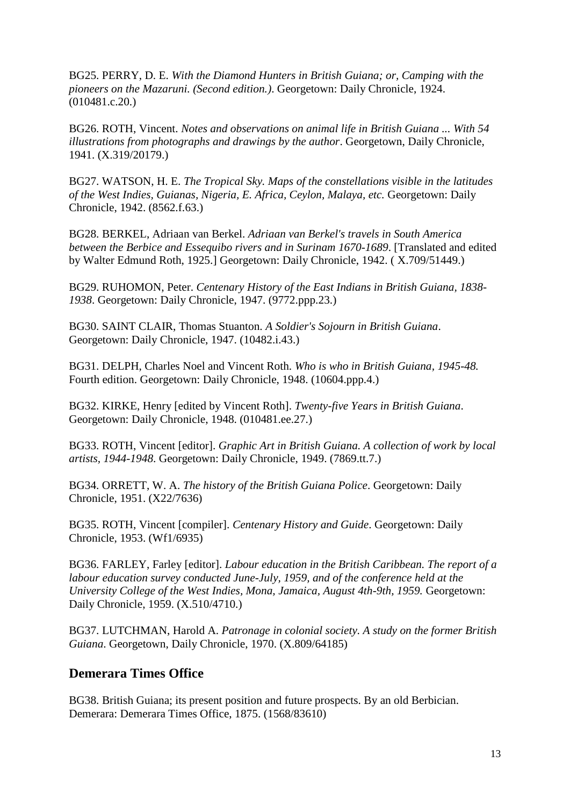BG25. PERRY, D. E. *With the Diamond Hunters in British Guiana; or, Camping with the pioneers on the Mazaruni. (Second edition.)*. Georgetown: Daily Chronicle, 1924. (010481.c.20.)

BG26. ROTH, Vincent. *Notes and observations on animal life in British Guiana ... With 54 illustrations from photographs and drawings by the author*. Georgetown, Daily Chronicle, 1941. (X.319/20179.)

BG27. WATSON, H. E. *The Tropical Sky. Maps of the constellations visible in the latitudes of the West Indies, Guianas, Nigeria, E. Africa, Ceylon, Malaya, etc.* Georgetown: Daily Chronicle, 1942. (8562.f.63.)

BG28. BERKEL, Adriaan van Berkel. *Adriaan van Berkel's travels in South America between the Berbice and Essequibo rivers and in Surinam 1670-1689*. [Translated and edited by Walter Edmund Roth, 1925.] Georgetown: Daily Chronicle, 1942. ( X.709/51449.)

BG29. RUHOMON, Peter. *Centenary History of the East Indians in British Guiana, 1838- 1938*. Georgetown: Daily Chronicle, 1947. (9772.ppp.23.)

BG30. SAINT CLAIR, Thomas Stuanton. *A Soldier's Sojourn in British Guiana*. Georgetown: Daily Chronicle, 1947. (10482.i.43.)

BG31. DELPH, Charles Noel and Vincent Roth. *Who is who in British Guiana, 1945-48.*  Fourth edition. Georgetown: Daily Chronicle, 1948. (10604.ppp.4.)

BG32. KIRKE, Henry [edited by Vincent Roth]. *Twenty-five Years in British Guiana*. Georgetown: Daily Chronicle, 1948. (010481.ee.27.)

BG33. ROTH, Vincent [editor]. *Graphic Art in British Guiana. A collection of work by local artists, 1944-1948*. Georgetown: Daily Chronicle, 1949. (7869.tt.7.)

BG34. ORRETT, W. A. *The history of the British Guiana Police*. Georgetown: Daily Chronicle, 1951. (X22/7636)

BG35. ROTH, Vincent [compiler]. *Centenary History and Guide*. Georgetown: Daily Chronicle, 1953. (Wf1/6935)

BG36. FARLEY, Farley [editor]. *Labour education in the British Caribbean. The report of a labour education survey conducted June-July, 1959, and of the conference held at the University College of the West Indies, Mona, Jamaica, August 4th-9th, 1959.* Georgetown: Daily Chronicle, 1959. (X.510/4710.)

BG37. LUTCHMAN, Harold A. *Patronage in colonial society. A study on the former British Guiana*. Georgetown, Daily Chronicle, 1970. (X.809/64185)

#### <span id="page-12-0"></span>**Demerara Times Office**

BG38. British Guiana; its present position and future prospects. By an old Berbician. Demerara: Demerara Times Office, 1875. (1568/83610)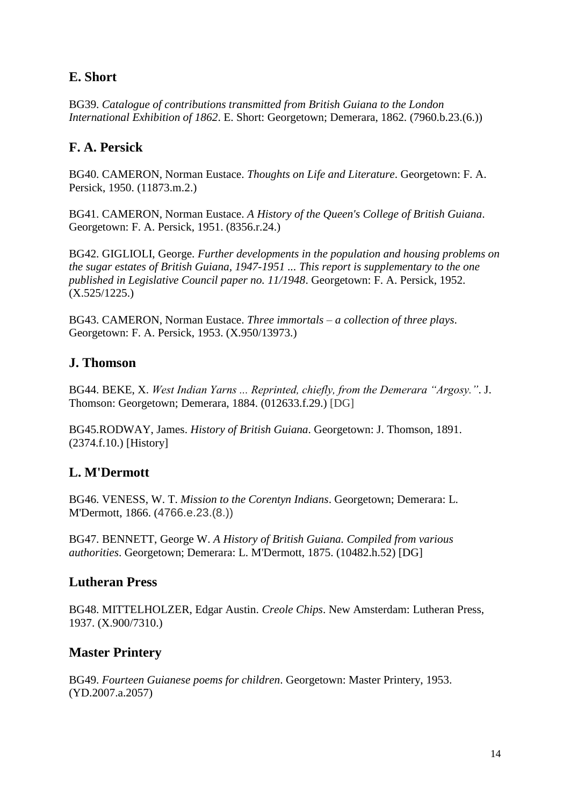# <span id="page-13-0"></span>**E. Short**

BG39. *Catalogue of contributions transmitted from British Guiana to the London International Exhibition of 1862*. E. Short: Georgetown; Demerara, 1862. (7960.b.23.(6.))

# <span id="page-13-1"></span>**F. A. Persick**

BG40. CAMERON, Norman Eustace. *Thoughts on Life and Literature*. Georgetown: F. A. Persick, 1950. (11873.m.2.)

BG41. CAMERON, Norman Eustace. *A History of the Queen's College of British Guiana*. Georgetown: F. A. Persick, 1951. (8356.r.24.)

BG42. GIGLIOLI, George. *Further developments in the population and housing problems on the sugar estates of British Guiana, 1947-1951 ... This report is supplementary to the one published in Legislative Council paper no. 11/1948*. Georgetown: F. A. Persick, 1952. (X.525/1225.)

BG43. CAMERON, Norman Eustace. *Three immortals – a collection of three plays*. Georgetown: F. A. Persick, 1953. (X.950/13973.)

# <span id="page-13-2"></span>**J. Thomson**

BG44. BEKE, X. *West Indian Yarns ... Reprinted, chiefly, from the Demerara "Argosy."*. J. Thomson: Georgetown; Demerara, 1884. (012633.f.29.) [DG]

BG45.RODWAY, James. *History of British Guiana*. Georgetown: J. Thomson, 1891. (2374.f.10.) [History]

# <span id="page-13-3"></span>**L. M'Dermott**

BG46. VENESS, W. T. *Mission to the Corentyn Indians*. Georgetown; Demerara: L. M'Dermott, 1866. (4766.e.23.(8.))

BG47. BENNETT, George W. *A History of British Guiana. Compiled from various authorities*. Georgetown; Demerara: L. M'Dermott, 1875. (10482.h.52) [DG]

#### <span id="page-13-4"></span>**Lutheran Press**

BG48. MITTELHOLZER, Edgar Austin. *Creole Chips*. New Amsterdam: Lutheran Press, 1937. (X.900/7310.)

# <span id="page-13-5"></span>**Master Printery**

BG49. *Fourteen Guianese poems for children*. Georgetown: Master Printery, 1953. (YD.2007.a.2057)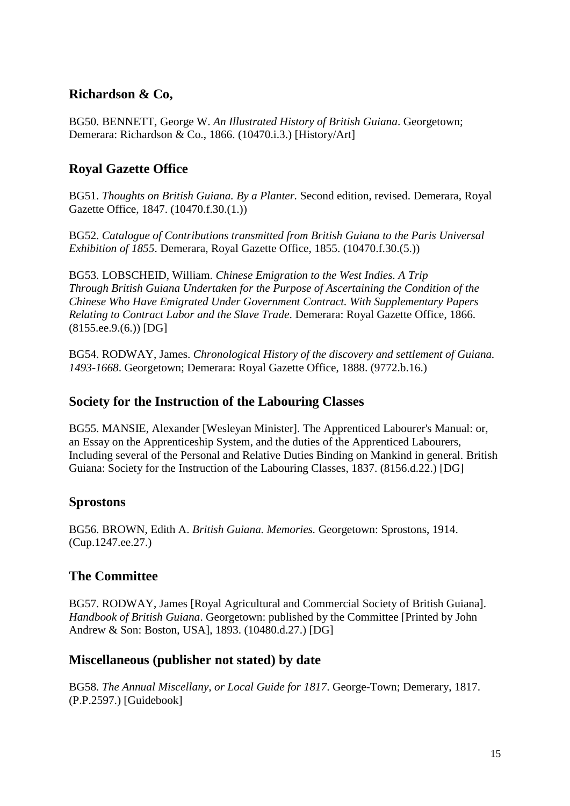# <span id="page-14-0"></span>**Richardson & Co,**

BG50. BENNETT, George W. *An Illustrated History of British Guiana*. Georgetown; Demerara: Richardson & Co., 1866. (10470.i.3.) [History/Art]

# <span id="page-14-1"></span>**Royal Gazette Office**

BG51. *Thoughts on British Guiana. By a Planter.* Second edition, revised. Demerara, Royal Gazette Office, 1847. (10470.f.30.(1.))

BG52. *Catalogue of Contributions transmitted from British Guiana to the Paris Universal Exhibition of 1855*. Demerara, Royal Gazette Office, 1855. (10470.f.30.(5.))

BG53. LOBSCHEID, William. *Chinese Emigration to the West Indies. A Trip Through British Guiana Undertaken for the Purpose of Ascertaining the Condition of the Chinese Who Have Emigrated Under Government Contract. With Supplementary Papers Relating to Contract Labor and the Slave Trade*. Demerara: Royal Gazette Office, 1866. (8155.ee.9.(6.)) [DG]

BG54. RODWAY, James. *Chronological History of the discovery and settlement of Guiana. 1493-1668*. Georgetown; Demerara: Royal Gazette Office, 1888. (9772.b.16.)

## <span id="page-14-2"></span>**Society for the Instruction of the Labouring Classes**

BG55. MANSIE, Alexander [Wesleyan Minister]. The Apprenticed Labourer's Manual: or, an Essay on the Apprenticeship System, and the duties of the Apprenticed Labourers, Including several of the Personal and Relative Duties Binding on Mankind in general. British Guiana: Society for the Instruction of the Labouring Classes, 1837. (8156.d.22.) [DG]

# <span id="page-14-3"></span>**Sprostons**

BG56. BROWN, Edith A. *British Guiana. Memories.* Georgetown: Sprostons, 1914. (Cup.1247.ee.27.)

# <span id="page-14-4"></span>**The Committee**

BG57. RODWAY, James [Royal Agricultural and Commercial Society of British Guiana]. *Handbook of British Guiana*. Georgetown: published by the Committee [Printed by John Andrew & Son: Boston, USA], 1893. (10480.d.27.) [DG]

# <span id="page-14-5"></span>**Miscellaneous (publisher not stated) by date**

BG58. *The Annual Miscellany, or Local Guide for 1817*. George-Town; Demerary, 1817. (P.P.2597.) [Guidebook]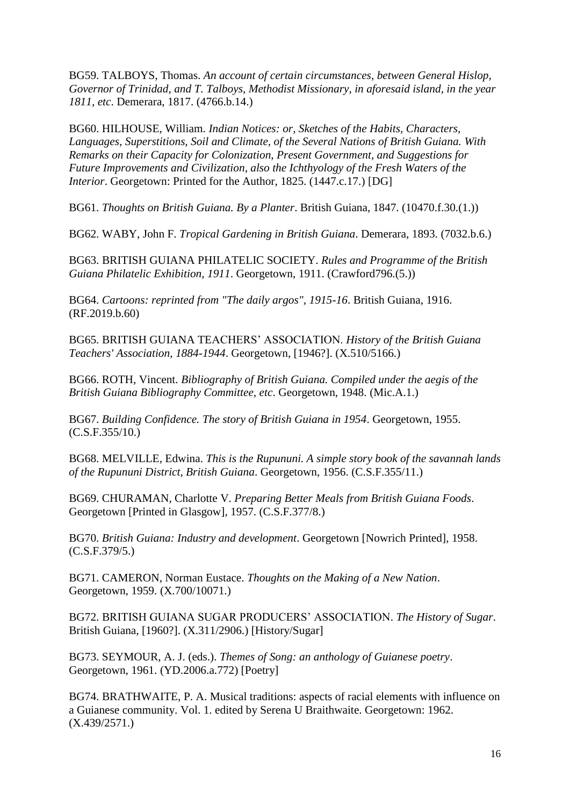BG59. TALBOYS, Thomas. *An account of certain circumstances, between General Hislop, Governor of Trinidad, and T. Talboys, Methodist Missionary, in aforesaid island, in the year 1811, etc*. Demerara, 1817. (4766.b.14.)

BG60. HILHOUSE, William. *Indian Notices: or, Sketches of the Habits, Characters, Languages, Superstitions, Soil and Climate, of the Several Nations of British Guiana. With Remarks on their Capacity for Colonization, Present Government, and Suggestions for Future Improvements and Civilization, also the Ichthyology of the Fresh Waters of the Interior*. Georgetown: Printed for the Author, 1825. (1447.c.17.) [DG]

BG61. *Thoughts on British Guiana. By a Planter*. British Guiana, 1847. (10470.f.30.(1.))

BG62. WABY, John F. *Tropical Gardening in British Guiana*. Demerara, 1893. (7032.b.6.)

BG63. BRITISH GUIANA PHILATELIC SOCIETY. *Rules and Programme of the British Guiana Philatelic Exhibition, 1911*. Georgetown, 1911. (Crawford796.(5.))

BG64. *Cartoons: reprinted from "The daily argos", 1915-16*. British Guiana, 1916. (RF.2019.b.60)

BG65. BRITISH GUIANA TEACHERS' ASSOCIATION. *History of the British Guiana Teachers' Association, 1884-1944*. Georgetown, [1946?]. (X.510/5166.)

BG66. ROTH, Vincent. *Bibliography of British Guiana. Compiled under the aegis of the British Guiana Bibliography Committee, etc*. Georgetown, 1948. (Mic.A.1.)

BG67. *Building Confidence. The story of British Guiana in 1954*. Georgetown, 1955. (C.S.F.355/10.)

BG68. MELVILLE, Edwina. *This is the Rupununi. A simple story book of the savannah lands of the Rupununi District, British Guiana*. Georgetown, 1956. (C.S.F.355/11.)

BG69. CHURAMAN, Charlotte V. *Preparing Better Meals from British Guiana Foods*. Georgetown [Printed in Glasgow], 1957. (C.S.F.377/8.)

BG70. *British Guiana: Industry and development*. Georgetown [Nowrich Printed], 1958. (C.S.F.379/5.)

BG71. CAMERON, Norman Eustace. *Thoughts on the Making of a New Nation*. Georgetown, 1959. (X.700/10071.)

BG72. BRITISH GUIANA SUGAR PRODUCERS' ASSOCIATION. *The History of Sugar*. British Guiana, [1960?]. (X.311/2906.) [History/Sugar]

BG73. SEYMOUR, A. J. (eds.). *Themes of Song: an anthology of Guianese poetry*. Georgetown, 1961. (YD.2006.a.772) [Poetry]

BG74. BRATHWAITE, P. A. Musical traditions: aspects of racial elements with influence on a Guianese community. Vol. 1. edited by Serena U Braithwaite. Georgetown: 1962. (X.439/2571.)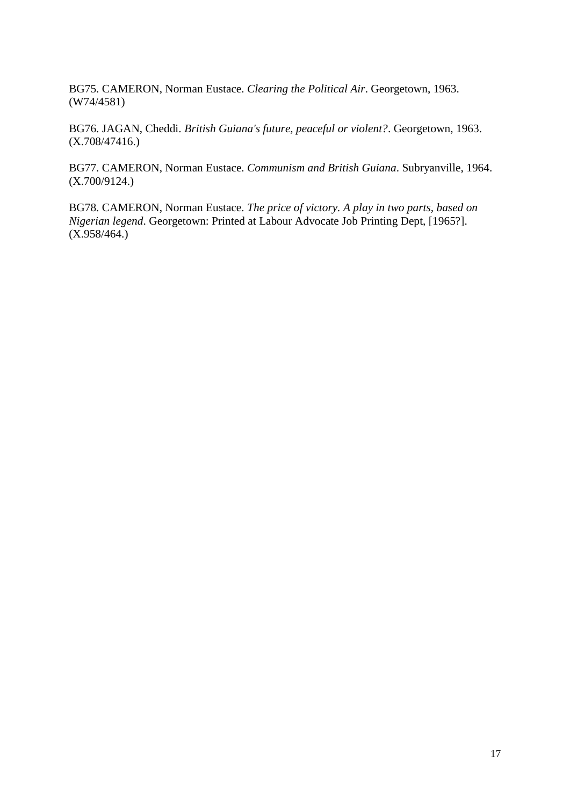BG75. CAMERON, Norman Eustace. *Clearing the Political Air*. Georgetown, 1963. (W74/4581)

BG76. JAGAN, Cheddi. *British Guiana's future, peaceful or violent?*. Georgetown, 1963. (X.708/47416.)

BG77. CAMERON, Norman Eustace. *Communism and British Guiana*. Subryanville, 1964. (X.700/9124.)

BG78. CAMERON, Norman Eustace. *The price of victory. A play in two parts, based on Nigerian legend*. Georgetown: Printed at Labour Advocate Job Printing Dept, [1965?]. (X.958/464.)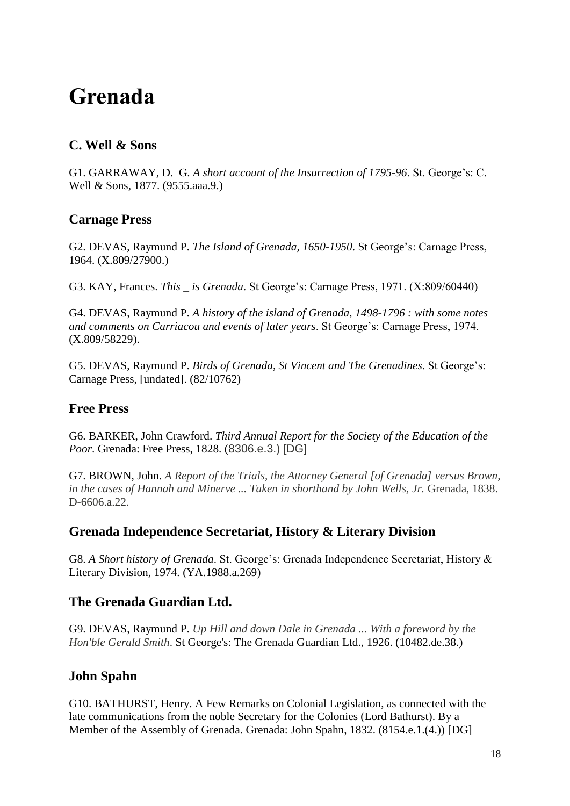# <span id="page-17-0"></span>**Grenada**

# <span id="page-17-1"></span>**C. Well & Sons**

G1. GARRAWAY, D. G. *A short account of the Insurrection of 1795-96*. St. George's: C. Well & Sons, 1877. (9555.aaa.9.)

# <span id="page-17-2"></span>**Carnage Press**

G2. DEVAS, Raymund P. *The Island of Grenada, 1650-1950*. St George's: Carnage Press, 1964. (X.809/27900.)

G3. KAY, Frances. *This \_ is Grenada*. St George's: Carnage Press, 1971. (X:809/60440)

G4. DEVAS, Raymund P. *A history of the island of Grenada, 1498-1796 : with some notes and comments on Carriacou and events of later years*. St George's: Carnage Press, 1974. (X.809/58229).

G5. DEVAS, Raymund P. *Birds of Grenada, St Vincent and The Grenadines*. St George's: Carnage Press, [undated]. (82/10762)

# <span id="page-17-3"></span>**Free Press**

G6. BARKER, John Crawford. *Third Annual Report for the Society of the Education of the Poor*. Grenada: Free Press, 1828. (8306.e.3.) [DG]

G7. BROWN, John. *A Report of the Trials, the Attorney General [of Grenada] versus Brown, in the cases of Hannah and Minerve ... Taken in shorthand by John Wells, Jr.* Grenada, 1838. D-6606.a.22.

# <span id="page-17-4"></span>**Grenada Independence Secretariat, History & Literary Division**

G8. *A Short history of Grenada*. St. George's: Grenada Independence Secretariat, History & Literary Division, 1974. (YA.1988.a.269)

# <span id="page-17-5"></span>**The Grenada Guardian Ltd.**

G9. DEVAS, Raymund P. *Up Hill and down Dale in Grenada ... With a foreword by the Hon'ble Gerald Smith*. St George's: The Grenada Guardian Ltd., 1926. (10482.de.38.)

# <span id="page-17-6"></span>**John Spahn**

G10. BATHURST, Henry. A Few Remarks on Colonial Legislation, as connected with the late communications from the noble Secretary for the Colonies (Lord Bathurst). By a Member of the Assembly of Grenada. Grenada: John Spahn, 1832. (8154.e.1.(4.)) [DG]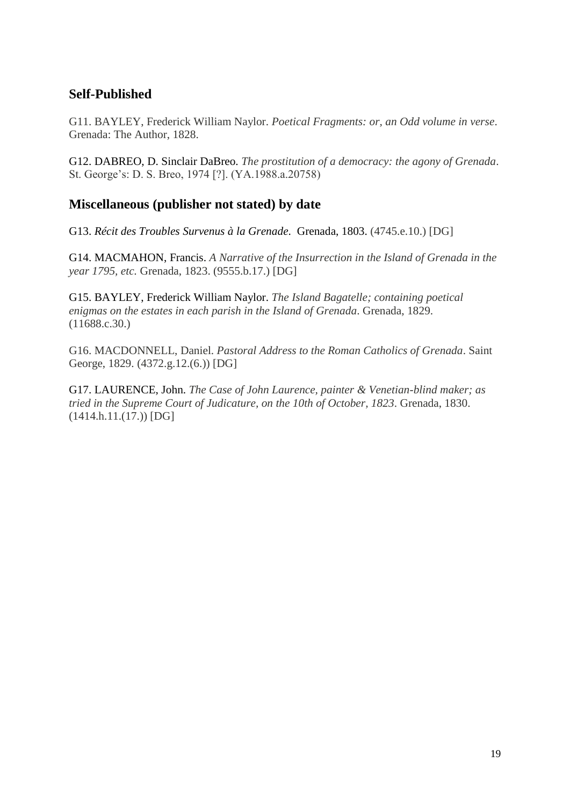# <span id="page-18-0"></span>**Self-Published**

G11. BAYLEY, Frederick William Naylor. *Poetical Fragments: or, an Odd volume in verse*. Grenada: The Author, 1828.

G12. DABREO, D. Sinclair DaBreo. *The prostitution of a democracy: the agony of Grenada*. St. George's: D. S. Breo, 1974 [?]. (YA.1988.a.20758)

# <span id="page-18-1"></span>**Miscellaneous (publisher not stated) by date**

G13. *Récit des Troubles Survenus à la Grenade*. Grenada, 1803. (4745.e.10.) [DG]

G14. MACMAHON, Francis. *A Narrative of the Insurrection in the Island of Grenada in the year 1795, etc.* Grenada, 1823. (9555.b.17.) [DG]

G15. BAYLEY, Frederick William Naylor. *The Island Bagatelle; containing poetical enigmas on the estates in each parish in the Island of Grenada*. Grenada, 1829. (11688.c.30.)

G16. MACDONNELL, Daniel. *Pastoral Address to the Roman Catholics of Grenada*. Saint George, 1829. (4372.g.12.(6.)) [DG]

G17. LAURENCE, John. *The Case of John Laurence, painter & Venetian-blind maker; as tried in the Supreme Court of Judicature, on the 10th of October, 1823*. Grenada, 1830. (1414.h.11.(17.)) [DG]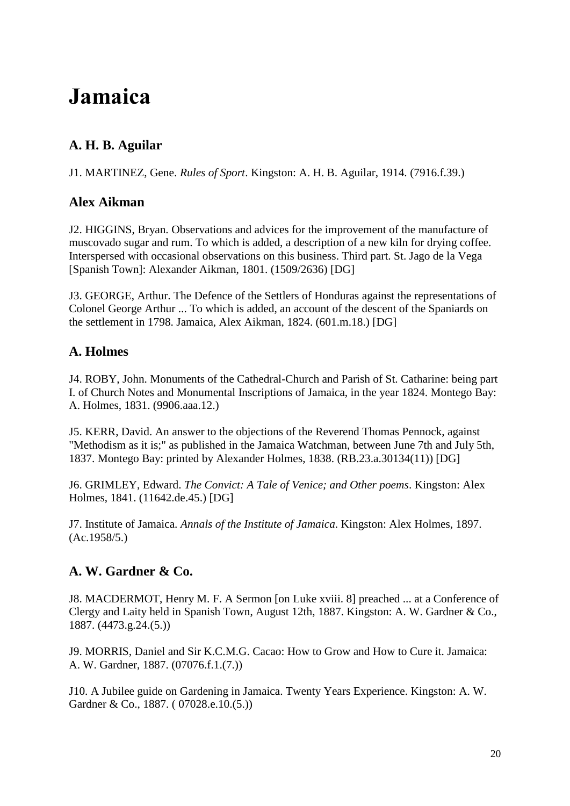# <span id="page-19-0"></span>**Jamaica**

# <span id="page-19-1"></span>**A. H. B. Aguilar**

J1. MARTINEZ, Gene. *Rules of Sport*. Kingston: A. H. B. Aguilar, 1914. (7916.f.39.)

#### <span id="page-19-2"></span>**Alex Aikman**

J2. HIGGINS, Bryan. Observations and advices for the improvement of the manufacture of muscovado sugar and rum. To which is added, a description of a new kiln for drying coffee. Interspersed with occasional observations on this business. Third part. St. Jago de la Vega [Spanish Town]: Alexander Aikman, 1801. (1509/2636) [DG]

J3. GEORGE, Arthur. The Defence of the Settlers of Honduras against the representations of Colonel George Arthur ... To which is added, an account of the descent of the Spaniards on the settlement in 1798. Jamaica, Alex Aikman, 1824. (601.m.18.) [DG]

# <span id="page-19-3"></span>**A. Holmes**

J4. ROBY, John. Monuments of the Cathedral-Church and Parish of St. Catharine: being part I. of Church Notes and Monumental Inscriptions of Jamaica, in the year 1824. Montego Bay: A. Holmes, 1831. (9906.aaa.12.)

J5. KERR, David. An answer to the objections of the Reverend Thomas Pennock, against "Methodism as it is;" as published in the Jamaica Watchman, between June 7th and July 5th, 1837. Montego Bay: printed by Alexander Holmes, 1838. (RB.23.a.30134(11)) [DG]

J6. GRIMLEY, Edward. *The Convict: A Tale of Venice; and Other poems*. Kingston: Alex Holmes, 1841. (11642.de.45.) [DG]

J7. Institute of Jamaica. *Annals of the Institute of Jamaica*. Kingston: Alex Holmes, 1897. (Ac.1958/5.)

# <span id="page-19-4"></span>**A. W. Gardner & Co.**

J8. MACDERMOT, Henry M. F. A Sermon [on Luke xviii. 8] preached ... at a Conference of Clergy and Laity held in Spanish Town, August 12th, 1887. Kingston: A. W. Gardner & Co., 1887. (4473.g.24.(5.))

J9. MORRIS, Daniel and Sir K.C.M.G. Cacao: How to Grow and How to Cure it. Jamaica: A. W. Gardner, 1887. (07076.f.1.(7.))

J10. A Jubilee guide on Gardening in Jamaica. Twenty Years Experience. Kingston: A. W. Gardner & Co., 1887. (07028.e.10.(5.))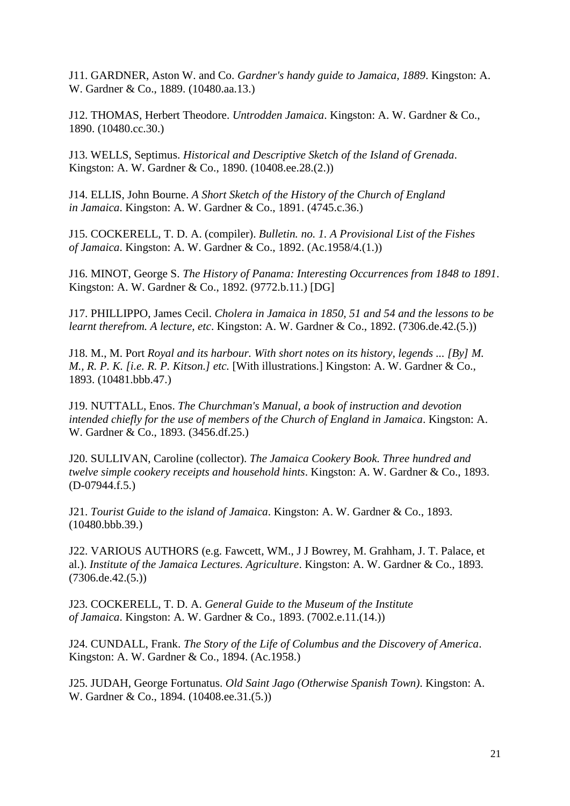J11. GARDNER, Aston W. and Co. *Gardner's handy guide to Jamaica, 1889*. Kingston: A. W. Gardner & Co., 1889. (10480.aa.13.)

J12. THOMAS, Herbert Theodore. *Untrodden Jamaica*. Kingston: A. W. Gardner & Co., 1890. (10480.cc.30.)

J13. WELLS, Septimus. *Historical and Descriptive Sketch of the Island of Grenada*. Kingston: A. W. Gardner & Co., 1890. (10408.ee.28.(2.))

J14. ELLIS, John Bourne. *A Short Sketch of the History of the Church of England in Jamaica*. Kingston: A. W. Gardner & Co., 1891. (4745.c.36.)

J15. COCKERELL, T. D. A. (compiler). *Bulletin. no. 1. A Provisional List of the Fishes of Jamaica*. Kingston: A. W. Gardner & Co., 1892. (Ac.1958/4.(1.))

J16. MINOT, George S. *The History of Panama: Interesting Occurrences from 1848 to 1891*. Kingston: A. W. Gardner & Co., 1892. (9772.b.11.) [DG]

J17. PHILLIPPO, James Cecil. *Cholera in Jamaica in 1850, 51 and 54 and the lessons to be learnt therefrom. A lecture, etc*. Kingston: A. W. Gardner & Co., 1892. (7306.de.42.(5.))

J18. M., M. Port *Royal and its harbour. With short notes on its history, legends ... [By] M. M., R. P. K. [i.e. R. P. Kitson.] etc.* [With illustrations.] Kingston: A. W. Gardner & Co., 1893. (10481.bbb.47.)

J19. NUTTALL, Enos. *The Churchman's Manual, a book of instruction and devotion intended chiefly for the use of members of the Church of England in Jamaica*. Kingston: A. W. Gardner & Co., 1893. (3456.df.25.)

J20. SULLIVAN, Caroline (collector). *The Jamaica Cookery Book. Three hundred and twelve simple cookery receipts and household hints*. Kingston: A. W. Gardner & Co., 1893. (D-07944.f.5.)

J21. *Tourist Guide to the island of Jamaica*. Kingston: A. W. Gardner & Co., 1893. (10480.bbb.39.)

J22. VARIOUS AUTHORS (e.g. Fawcett, WM., J J Bowrey, M. Grahham, J. T. Palace, et al.). *Institute of the Jamaica Lectures. Agriculture*. Kingston: A. W. Gardner & Co., 1893. (7306.de.42.(5.))

J23. COCKERELL, T. D. A. *General Guide to the Museum of the Institute of Jamaica*. Kingston: A. W. Gardner & Co., 1893. (7002.e.11.(14.))

J24. CUNDALL, Frank. *The Story of the Life of Columbus and the Discovery of America*. Kingston: A. W. Gardner & Co., 1894. (Ac.1958.)

J25. JUDAH, George Fortunatus. *Old Saint Jago (Otherwise Spanish Town)*. Kingston: A. W. Gardner & Co., 1894. (10408.ee.31.(5.))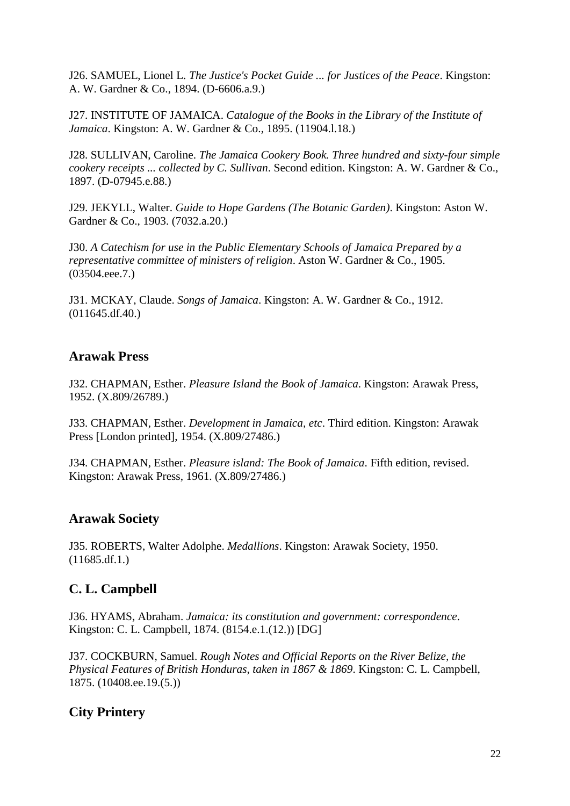J26. SAMUEL, Lionel L. *The Justice's Pocket Guide ... for Justices of the Peace*. Kingston: A. W. Gardner & Co., 1894. (D-6606.a.9.)

J27. INSTITUTE OF JAMAICA. *Catalogue of the Books in the Library of the Institute of Jamaica*. Kingston: A. W. Gardner & Co., 1895. (11904.l.18.)

J28. SULLIVAN, Caroline. *The Jamaica Cookery Book. Three hundred and sixty-four simple cookery receipts ... collected by C. Sullivan*. Second edition. Kingston: A. W. Gardner & Co., 1897. (D-07945.e.88.)

J29. JEKYLL, Walter. *Guide to Hope Gardens (The Botanic Garden)*. Kingston: Aston W. Gardner & Co., 1903. (7032.a.20.)

J30. *A Catechism for use in the Public Elementary Schools of Jamaica Prepared by a representative committee of ministers of religion*. Aston W. Gardner & Co., 1905. (03504.eee.7.)

J31. MCKAY, Claude. *Songs of Jamaica*. Kingston: A. W. Gardner & Co., 1912. (011645.df.40.)

#### <span id="page-21-0"></span>**Arawak Press**

J32. CHAPMAN, Esther. *Pleasure Island the Book of Jamaica*. Kingston: Arawak Press, 1952. (X.809/26789.)

J33. CHAPMAN, Esther. *Development in Jamaica, etc*. Third edition. Kingston: Arawak Press [London printed], 1954. (X.809/27486.)

J34. CHAPMAN, Esther. *Pleasure island: The Book of Jamaica*. Fifth edition, revised. Kingston: Arawak Press, 1961. (X.809/27486.)

# <span id="page-21-1"></span>**Arawak Society**

J35. ROBERTS, Walter Adolphe. *Medallions*. Kingston: Arawak Society, 1950. (11685.df.1.)

# <span id="page-21-2"></span>**C. L. Campbell**

J36. HYAMS, Abraham. *Jamaica: its constitution and government: correspondence*. Kingston: C. L. Campbell, 1874. (8154.e.1.(12.)) [DG]

J37. COCKBURN, Samuel. *Rough Notes and Official Reports on the River Belize, the Physical Features of British Honduras, taken in 1867 & 1869*. Kingston: C. L. Campbell, 1875. (10408.ee.19.(5.))

# <span id="page-21-3"></span>**City Printery**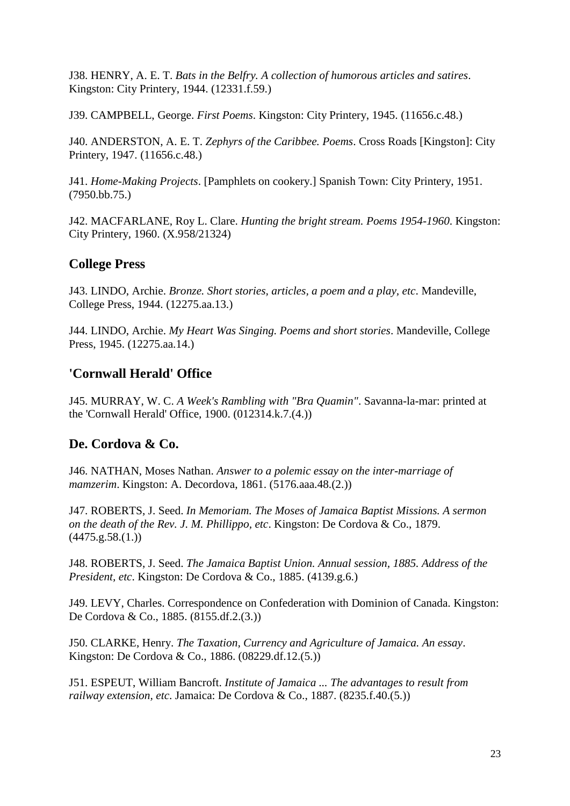J38. HENRY, A. E. T. *Bats in the Belfry. A collection of humorous articles and satires*. Kingston: City Printery, 1944. (12331.f.59.)

J39. CAMPBELL, George. *First Poems*. Kingston: City Printery, 1945. (11656.c.48.)

J40. ANDERSTON, A. E. T. *Zephyrs of the Caribbee. Poems*. Cross Roads [Kingston]: City Printery, 1947. (11656.c.48.)

J41. *Home-Making Projects*. [Pamphlets on cookery.] Spanish Town: City Printery, 1951. (7950.bb.75.)

J42. MACFARLANE, Roy L. Clare. *Hunting the bright stream. Poems 1954-1960*. Kingston: City Printery, 1960. (X.958/21324)

#### <span id="page-22-0"></span>**College Press**

J43. LINDO, Archie. *Bronze. Short stories, articles, a poem and a play, etc*. Mandeville, College Press, 1944. (12275.aa.13.)

J44. LINDO, Archie. *My Heart Was Singing. Poems and short stories*. Mandeville, College Press, 1945. (12275.aa.14.)

## <span id="page-22-1"></span>**'Cornwall Herald' Office**

J45. MURRAY, W. C. *A Week's Rambling with "Bra Quamin"*. Savanna-la-mar: printed at the 'Cornwall Herald' Office, 1900. (012314.k.7.(4.))

#### <span id="page-22-2"></span>**De. Cordova & Co.**

J46. NATHAN, Moses Nathan. *Answer to a polemic essay on the inter-marriage of mamzerim*. Kingston: A. Decordova, 1861. (5176.aaa.48.(2.))

J47. ROBERTS, J. Seed. *In Memoriam. The Moses of Jamaica Baptist Missions. A sermon on the death of the Rev. J. M. Phillippo, etc*. Kingston: De Cordova & Co., 1879.  $(4475.g.58.(1.))$ 

J48. ROBERTS, J. Seed. *The Jamaica Baptist Union. Annual session, 1885. Address of the President, etc*. Kingston: De Cordova & Co., 1885. (4139.g.6.)

J49. LEVY, Charles. Correspondence on Confederation with Dominion of Canada. Kingston: De Cordova & Co., 1885. (8155.df.2.(3.))

J50. CLARKE, Henry. *The Taxation, Currency and Agriculture of Jamaica. An essay*. Kingston: De Cordova & Co., 1886. (08229.df.12.(5.))

J51. ESPEUT, William Bancroft. *Institute of Jamaica ... The advantages to result from railway extension, etc*. Jamaica: De Cordova & Co., 1887. (8235.f.40.(5.))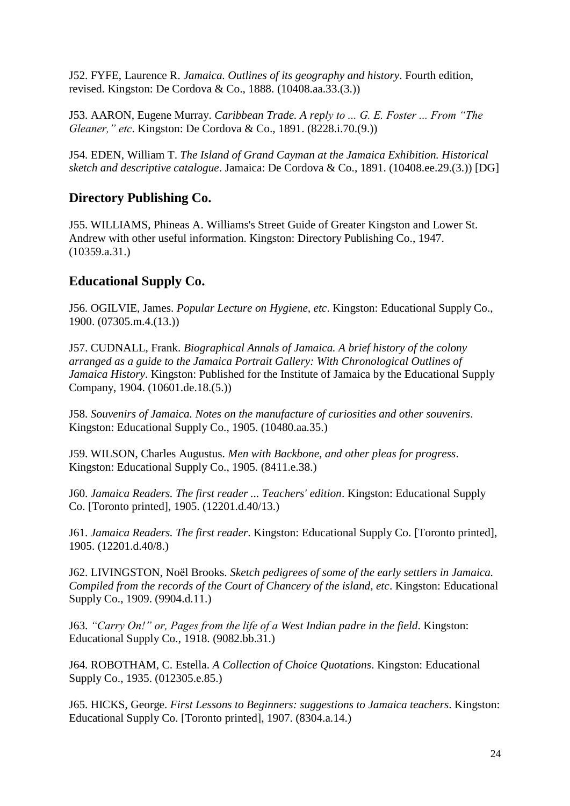J52. FYFE, Laurence R. *Jamaica. Outlines of its geography and history*. Fourth edition, revised. Kingston: De Cordova & Co., 1888. (10408.aa.33.(3.))

J53. AARON, Eugene Murray. *Caribbean Trade. A reply to ... G. E. Foster ... From "The Gleaner," etc*. Kingston: De Cordova & Co., 1891. (8228.i.70.(9.))

J54. EDEN, William T. *The Island of Grand Cayman at the Jamaica Exhibition. Historical sketch and descriptive catalogue*. Jamaica: De Cordova & Co., 1891. (10408.ee.29.(3.)) [DG]

## <span id="page-23-0"></span>**Directory Publishing Co.**

J55. WILLIAMS, Phineas A. Williams's Street Guide of Greater Kingston and Lower St. Andrew with other useful information. Kingston: Directory Publishing Co., 1947. (10359.a.31.)

# <span id="page-23-1"></span>**Educational Supply Co.**

J56. OGILVIE, James. *Popular Lecture on Hygiene, etc*. Kingston: Educational Supply Co., 1900. (07305.m.4.(13.))

J57. CUDNALL, Frank. *Biographical Annals of Jamaica. A brief history of the colony arranged as a guide to the Jamaica Portrait Gallery: With Chronological Outlines of Jamaica History*. Kingston: Published for the Institute of Jamaica by the Educational Supply Company, 1904. (10601.de.18.(5.))

J58. *Souvenirs of Jamaica. Notes on the manufacture of curiosities and other souvenirs*. Kingston: Educational Supply Co., 1905. (10480.aa.35.)

J59. WILSON, Charles Augustus. *Men with Backbone, and other pleas for progress*. Kingston: Educational Supply Co., 1905. (8411.e.38.)

J60. *Jamaica Readers. The first reader ... Teachers' edition*. Kingston: Educational Supply Co. [Toronto printed], 1905. (12201.d.40/13.)

J61. *Jamaica Readers. The first reader*. Kingston: Educational Supply Co. [Toronto printed], 1905. (12201.d.40/8.)

J62. LIVINGSTON, Noël Brooks. *Sketch pedigrees of some of the early settlers in Jamaica. Compiled from the records of the Court of Chancery of the island, etc*. Kingston: Educational Supply Co., 1909. (9904.d.11.)

J63. *"Carry On!" or, Pages from the life of a West Indian padre in the field*. Kingston: Educational Supply Co., 1918. (9082.bb.31.)

J64. ROBOTHAM, C. Estella. *A Collection of Choice Quotations*. Kingston: Educational Supply Co., 1935. (012305.e.85.)

J65. HICKS, George. *First Lessons to Beginners: suggestions to Jamaica teachers*. Kingston: Educational Supply Co. [Toronto printed], 1907. (8304.a.14.)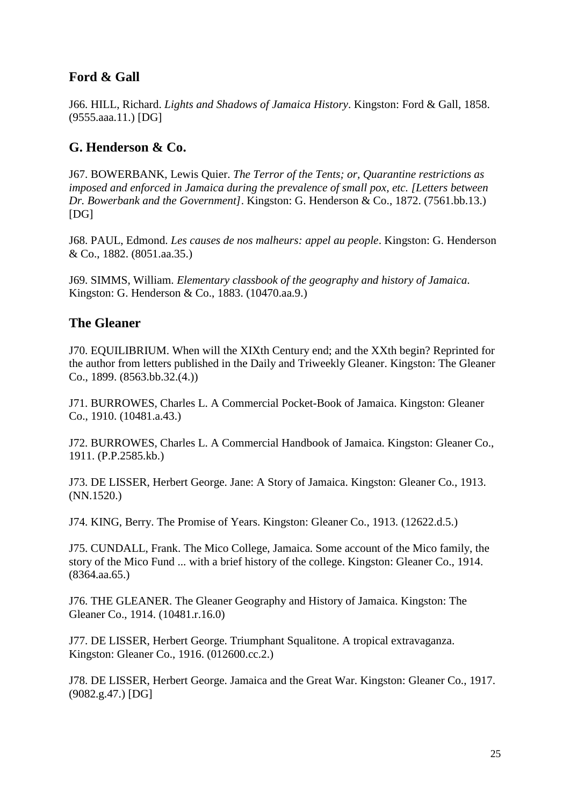# <span id="page-24-0"></span>**Ford & Gall**

J66. HILL, Richard. *Lights and Shadows of Jamaica History*. Kingston: Ford & Gall, 1858. (9555.aaa.11.) [DG]

# <span id="page-24-1"></span>**G. Henderson & Co.**

J67. BOWERBANK, Lewis Quier. *The Terror of the Tents; or, Quarantine restrictions as imposed and enforced in Jamaica during the prevalence of small pox, etc. [Letters between Dr. Bowerbank and the Government]*. Kingston: G. Henderson & Co., 1872. (7561.bb.13.) [DG]

J68. PAUL, Edmond. *Les causes de nos malheurs: appel au people*. Kingston: G. Henderson & Co., 1882. (8051.aa.35.)

J69. SIMMS, William. *Elementary classbook of the geography and history of Jamaica*. Kingston: G. Henderson & Co., 1883. (10470.aa.9.)

#### <span id="page-24-2"></span>**The Gleaner**

J70. EQUILIBRIUM. When will the XIXth Century end; and the XXth begin? Reprinted for the author from letters published in the Daily and Triweekly Gleaner. Kingston: The Gleaner Co., 1899. (8563.bb.32.(4.))

J71. BURROWES, Charles L. A Commercial Pocket-Book of Jamaica. Kingston: Gleaner Co., 1910. (10481.a.43.)

J72. BURROWES, Charles L. A Commercial Handbook of Jamaica. Kingston: Gleaner Co., 1911. (P.P.2585.kb.)

J73. DE LISSER, Herbert George. Jane: A Story of Jamaica. Kingston: Gleaner Co., 1913. (NN.1520.)

J74. KING, Berry. The Promise of Years. Kingston: Gleaner Co., 1913. (12622.d.5.)

J75. CUNDALL, Frank. The Mico College, Jamaica. Some account of the Mico family, the story of the Mico Fund ... with a brief history of the college. Kingston: Gleaner Co., 1914. (8364.aa.65.)

J76. THE GLEANER. The Gleaner Geography and History of Jamaica. Kingston: The Gleaner Co., 1914. (10481.r.16.0)

J77. DE LISSER, Herbert George. Triumphant Squalitone. A tropical extravaganza. Kingston: Gleaner Co., 1916. (012600.cc.2.)

J78. DE LISSER, Herbert George. Jamaica and the Great War. Kingston: Gleaner Co., 1917. (9082.g.47.) [DG]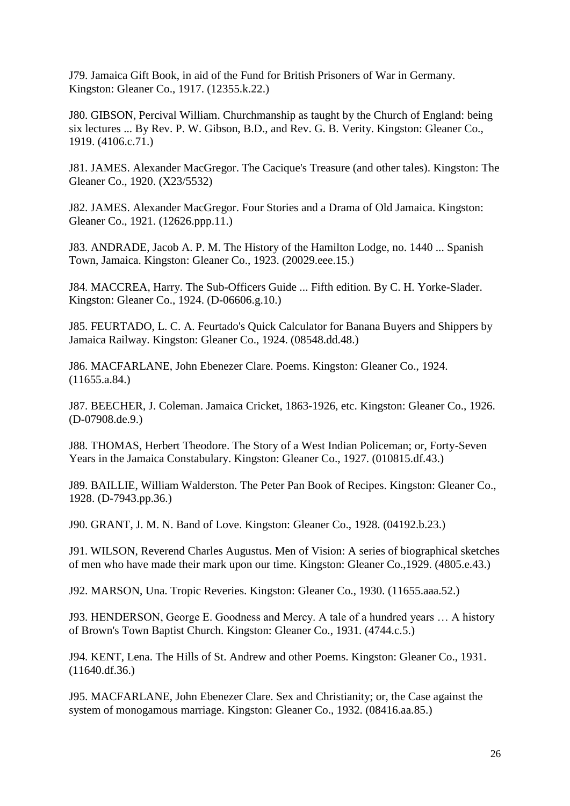J79. Jamaica Gift Book, in aid of the Fund for British Prisoners of War in Germany. Kingston: Gleaner Co., 1917. (12355.k.22.)

J80. GIBSON, Percival William. Churchmanship as taught by the Church of England: being six lectures ... By Rev. P. W. Gibson, B.D., and Rev. G. B. Verity. Kingston: Gleaner Co., 1919. (4106.c.71.)

J81. JAMES. Alexander MacGregor. The Cacique's Treasure (and other tales). Kingston: The Gleaner Co., 1920. (X23/5532)

J82. JAMES. Alexander MacGregor. Four Stories and a Drama of Old Jamaica. Kingston: Gleaner Co., 1921. (12626.ppp.11.)

J83. ANDRADE, Jacob A. P. M. The History of the Hamilton Lodge, no. 1440 ... Spanish Town, Jamaica. Kingston: Gleaner Co., 1923. (20029.eee.15.)

J84. MACCREA, Harry. The Sub-Officers Guide ... Fifth edition. By C. H. Yorke-Slader. Kingston: Gleaner Co., 1924. (D-06606.g.10.)

J85. FEURTADO, L. C. A. Feurtado's Quick Calculator for Banana Buyers and Shippers by Jamaica Railway. Kingston: Gleaner Co., 1924. (08548.dd.48.)

J86. MACFARLANE, John Ebenezer Clare. Poems. Kingston: Gleaner Co., 1924. (11655.a.84.)

J87. BEECHER, J. Coleman. Jamaica Cricket, 1863-1926, etc. Kingston: Gleaner Co., 1926. (D-07908.de.9.)

J88. THOMAS, Herbert Theodore. The Story of a West Indian Policeman; or, Forty-Seven Years in the Jamaica Constabulary. Kingston: Gleaner Co., 1927. (010815.df.43.)

J89. BAILLIE, William Walderston. The Peter Pan Book of Recipes. Kingston: Gleaner Co., 1928. (D-7943.pp.36.)

J90. GRANT, J. M. N. Band of Love. Kingston: Gleaner Co., 1928. (04192.b.23.)

J91. WILSON, Reverend Charles Augustus. Men of Vision: A series of biographical sketches of men who have made their mark upon our time. Kingston: Gleaner Co.,1929. (4805.e.43.)

J92. MARSON, Una. Tropic Reveries. Kingston: Gleaner Co., 1930. (11655.aaa.52.)

J93. HENDERSON, George E. Goodness and Mercy. A tale of a hundred years … A history of Brown's Town Baptist Church. Kingston: Gleaner Co., 1931. (4744.c.5.)

J94. KENT, Lena. The Hills of St. Andrew and other Poems. Kingston: Gleaner Co., 1931. (11640.df.36.)

J95. MACFARLANE, John Ebenezer Clare. Sex and Christianity; or, the Case against the system of monogamous marriage. Kingston: Gleaner Co., 1932. (08416.aa.85.)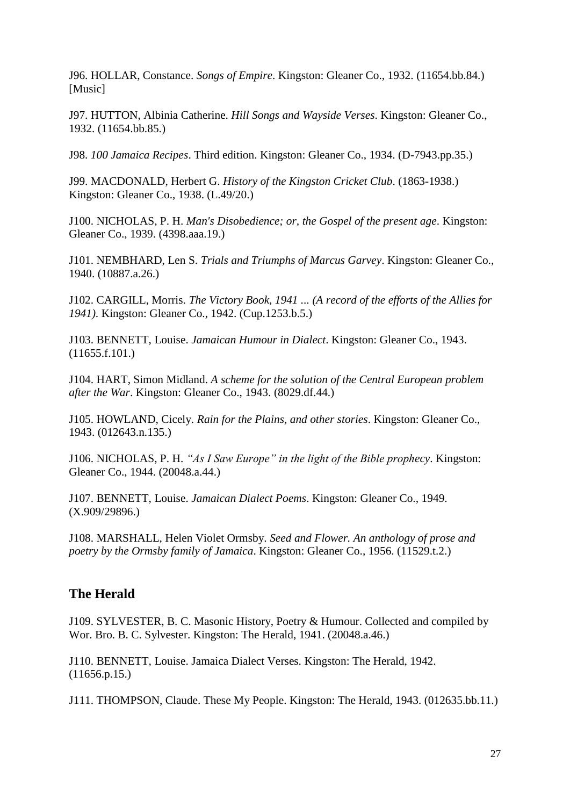J96. HOLLAR, Constance. *Songs of Empire*. Kingston: Gleaner Co., 1932. (11654.bb.84.) [Music]

J97. HUTTON, Albinia Catherine. *Hill Songs and Wayside Verses*. Kingston: Gleaner Co., 1932. (11654.bb.85.)

J98. *100 Jamaica Recipes*. Third edition. Kingston: Gleaner Co., 1934. (D-7943.pp.35.)

J99. MACDONALD, Herbert G. *History of the Kingston Cricket Club*. (1863-1938.) Kingston: Gleaner Co., 1938. (L.49/20.)

J100. NICHOLAS, P. H. *Man's Disobedience; or, the Gospel of the present age*. Kingston: Gleaner Co., 1939. (4398.aaa.19.)

J101. NEMBHARD, Len S. *Trials and Triumphs of Marcus Garvey*. Kingston: Gleaner Co., 1940. (10887.a.26.)

J102. CARGILL, Morris. *The Victory Book, 1941 ... (A record of the efforts of the Allies for 1941)*. Kingston: Gleaner Co., 1942. (Cup.1253.b.5.)

J103. BENNETT, Louise. *Jamaican Humour in Dialect*. Kingston: Gleaner Co., 1943. (11655.f.101.)

J104. HART, Simon Midland. *A scheme for the solution of the Central European problem after the War*. Kingston: Gleaner Co., 1943. (8029.df.44.)

J105. HOWLAND, Cicely. *Rain for the Plains, and other stories*. Kingston: Gleaner Co., 1943. (012643.n.135.)

J106. NICHOLAS, P. H. *"As I Saw Europe" in the light of the Bible prophecy*. Kingston: Gleaner Co., 1944. (20048.a.44.)

J107. BENNETT, Louise. *Jamaican Dialect Poems*. Kingston: Gleaner Co., 1949. (X.909/29896.)

J108. MARSHALL, Helen Violet Ormsby. *Seed and Flower. An anthology of prose and poetry by the Ormsby family of Jamaica*. Kingston: Gleaner Co., 1956. (11529.t.2.)

#### <span id="page-26-0"></span>**The Herald**

J109. SYLVESTER, B. C. Masonic History, Poetry & Humour. Collected and compiled by Wor. Bro. B. C. Sylvester. Kingston: The Herald, 1941. (20048.a.46.)

J110. BENNETT, Louise. Jamaica Dialect Verses. Kingston: The Herald, 1942. (11656.p.15.)

J111. THOMPSON, Claude. These My People. Kingston: The Herald, 1943. (012635.bb.11.)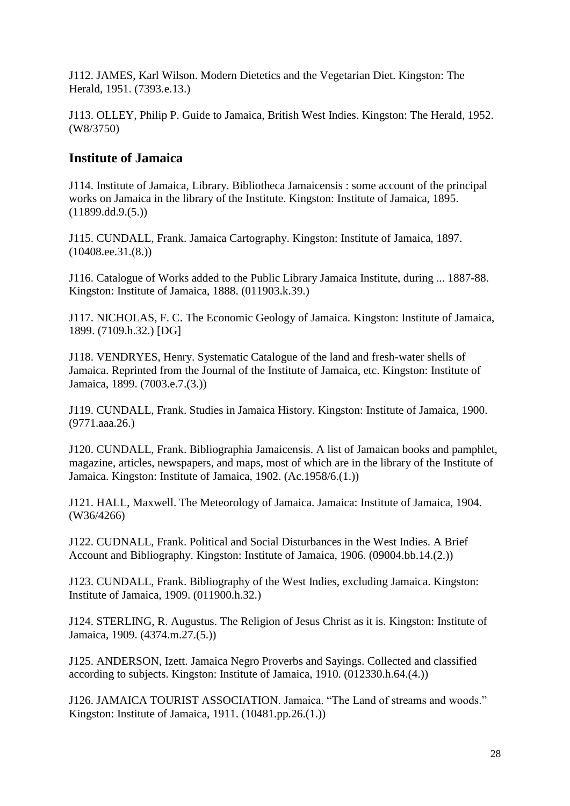J112. JAMES, Karl Wilson. Modern Dietetics and the Vegetarian Diet. Kingston: The Herald, 1951. (7393.e.13.)

J113. OLLEY, Philip P. Guide to Jamaica, British West Indies. Kingston: The Herald, 1952. (W8/3750)

#### <span id="page-27-0"></span>**Institute of Jamaica**

J114. Institute of Jamaica, Library. Bibliotheca Jamaicensis : some account of the principal works on Jamaica in the library of the Institute. Kingston: Institute of Jamaica, 1895.  $(11899.dd.9.(5.))$ 

J115. CUNDALL, Frank. Jamaica Cartography. Kingston: Institute of Jamaica, 1897. (10408.ee.31.(8.))

J116. Catalogue of Works added to the Public Library Jamaica Institute, during ... 1887-88. Kingston: Institute of Jamaica, 1888. (011903.k.39.)

J117. NICHOLAS, F. C. The Economic Geology of Jamaica. Kingston: Institute of Jamaica, 1899. (7109.h.32.) [DG]

J118. VENDRYES, Henry. Systematic Catalogue of the land and fresh-water shells of Jamaica. Reprinted from the Journal of the Institute of Jamaica, etc. Kingston: Institute of Jamaica, 1899. (7003.e.7.(3.))

J119. CUNDALL, Frank. Studies in Jamaica History. Kingston: Institute of Jamaica, 1900. (9771.aaa.26.)

J120. CUNDALL, Frank. Bibliographia Jamaicensis. A list of Jamaican books and pamphlet, magazine, articles, newspapers, and maps, most of which are in the library of the Institute of Jamaica. Kingston: Institute of Jamaica, 1902. (Ac.1958/6.(1.))

J121. HALL, Maxwell. The Meteorology of Jamaica. Jamaica: Institute of Jamaica, 1904. (W36/4266)

J122. CUDNALL, Frank. Political and Social Disturbances in the West Indies. A Brief Account and Bibliography. Kingston: Institute of Jamaica, 1906. (09004.bb.14.(2.))

J123. CUNDALL, Frank. Bibliography of the West Indies, excluding Jamaica. Kingston: Institute of Jamaica, 1909. (011900.h.32.)

J124. STERLING, R. Augustus. The Religion of Jesus Christ as it is. Kingston: Institute of Jamaica, 1909. (4374.m.27.(5.))

J125. ANDERSON, Izett. Jamaica Negro Proverbs and Sayings. Collected and classified according to subjects. Kingston: Institute of Jamaica, 1910. (012330.h.64.(4.))

J126. JAMAICA TOURIST ASSOCIATION. Jamaica. "The Land of streams and woods." Kingston: Institute of Jamaica, 1911. (10481.pp.26.(1.))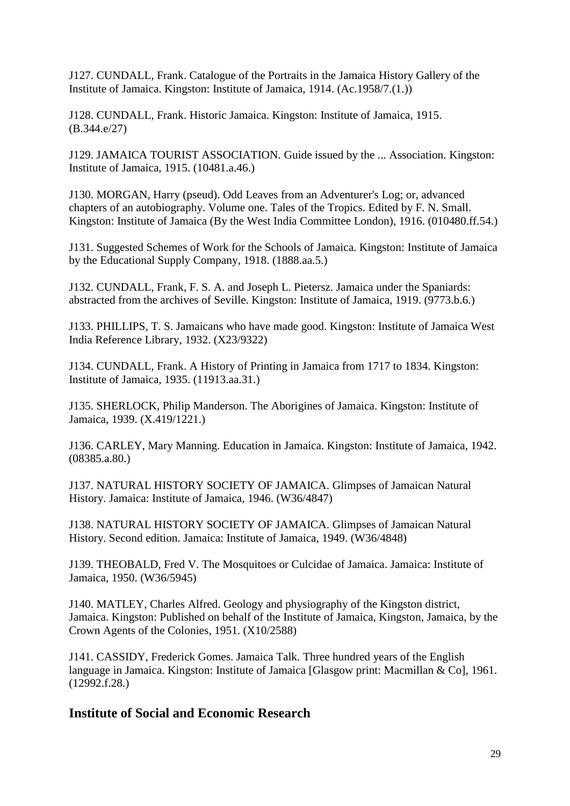J127. CUNDALL, Frank. Catalogue of the Portraits in the Jamaica History Gallery of the Institute of Jamaica. Kingston: Institute of Jamaica, 1914. (Ac.1958/7.(1.))

J128. CUNDALL, Frank. Historic Jamaica. Kingston: Institute of Jamaica, 1915. (B.344.e/27)

J129. JAMAICA TOURIST ASSOCIATION. Guide issued by the ... Association. Kingston: Institute of Jamaica, 1915. (10481.a.46.)

J130. MORGAN, Harry (pseud). Odd Leaves from an Adventurer's Log; or, advanced chapters of an autobiography. Volume one. Tales of the Tropics. Edited by F. N. Small. Kingston: Institute of Jamaica (By the West India Committee London), 1916. (010480.ff.54.)

J131. Suggested Schemes of Work for the Schools of Jamaica. Kingston: Institute of Jamaica by the Educational Supply Company, 1918. (1888.aa.5.)

J132. CUNDALL, Frank, F. S. A. and Joseph L. Pietersz. Jamaica under the Spaniards: abstracted from the archives of Seville. Kingston: Institute of Jamaica, 1919. (9773.b.6.)

J133. PHILLIPS, T. S. Jamaicans who have made good. Kingston: Institute of Jamaica West India Reference Library, 1932. (X23/9322)

J134. CUNDALL, Frank. A History of Printing in Jamaica from 1717 to 1834. Kingston: Institute of Jamaica, 1935. (11913.aa.31.)

J135. SHERLOCK, Philip Manderson. The Aborigines of Jamaica. Kingston: Institute of Jamaica, 1939. (X.419/1221.)

J136. CARLEY, Mary Manning. Education in Jamaica. Kingston: Institute of Jamaica, 1942. (08385.a.80.)

J137. NATURAL HISTORY SOCIETY OF JAMAICA. Glimpses of Jamaican Natural History. Jamaica: Institute of Jamaica, 1946. (W36/4847)

J138. NATURAL HISTORY SOCIETY OF JAMAICA. Glimpses of Jamaican Natural History. Second edition. Jamaica: Institute of Jamaica, 1949. (W36/4848)

J139. THEOBALD, Fred V. The Mosquitoes or Culcidae of Jamaica. Jamaica: Institute of Jamaica, 1950. (W36/5945)

J140. MATLEY, Charles Alfred. Geology and physiography of the Kingston district, Jamaica. Kingston: Published on behalf of the Institute of Jamaica, Kingston, Jamaica, by the Crown Agents of the Colonies, 1951. (X10/2588)

J141. CASSIDY, Frederick Gomes. Jamaica Talk. Three hundred years of the English language in Jamaica. Kingston: Institute of Jamaica [Glasgow print: Macmillan & Co], 1961. (12992.f.28.)

# <span id="page-28-0"></span>**Institute of Social and Economic Research**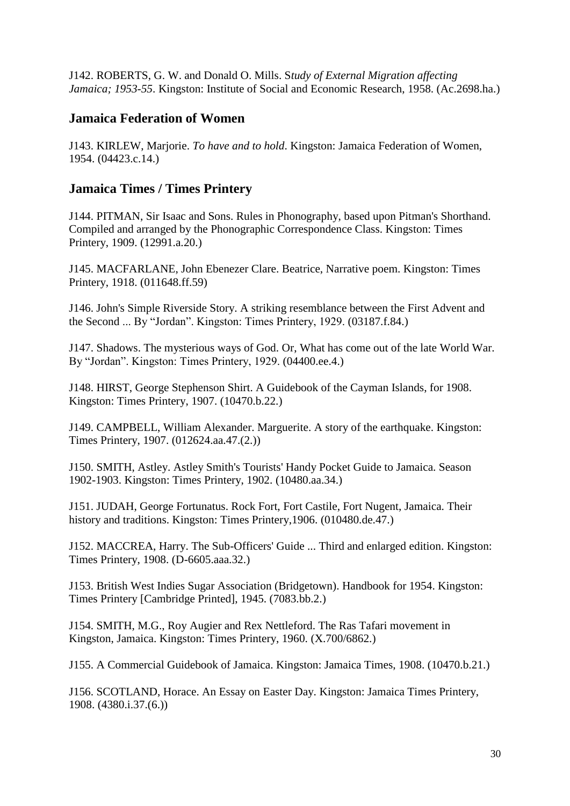J142. ROBERTS, G. W. and Donald O. Mills. S*tudy of External Migration affecting Jamaica; 1953-55*. Kingston: Institute of Social and Economic Research, 1958. (Ac.2698.ha.)

#### <span id="page-29-0"></span>**Jamaica Federation of Women**

J143. KIRLEW, Marjorie. *To have and to hold*. Kingston: Jamaica Federation of Women, 1954. (04423.c.14.)

## <span id="page-29-1"></span>**Jamaica Times / Times Printery**

J144. PITMAN, Sir Isaac and Sons. Rules in Phonography, based upon Pitman's Shorthand. Compiled and arranged by the Phonographic Correspondence Class. Kingston: Times Printery, 1909. (12991.a.20.)

J145. MACFARLANE, John Ebenezer Clare. Beatrice, Narrative poem. Kingston: Times Printery, 1918. (011648.ff.59)

J146. John's Simple Riverside Story. A striking resemblance between the First Advent and the Second ... By "Jordan". Kingston: Times Printery, 1929. (03187.f.84.)

J147. Shadows. The mysterious ways of God. Or, What has come out of the late World War. By "Jordan". Kingston: Times Printery, 1929. (04400.ee.4.)

J148. HIRST, George Stephenson Shirt. A Guidebook of the Cayman Islands, for 1908. Kingston: Times Printery, 1907. (10470.b.22.)

J149. CAMPBELL, William Alexander. Marguerite. A story of the earthquake. Kingston: Times Printery, 1907. (012624.aa.47.(2.))

J150. SMITH, Astley. Astley Smith's Tourists' Handy Pocket Guide to Jamaica. Season 1902-1903. Kingston: Times Printery, 1902. (10480.aa.34.)

J151. JUDAH, George Fortunatus. Rock Fort, Fort Castile, Fort Nugent, Jamaica. Their history and traditions. Kingston: Times Printery, 1906. (010480.de.47.)

J152. MACCREA, Harry. The Sub-Officers' Guide ... Third and enlarged edition. Kingston: Times Printery, 1908. (D-6605.aaa.32.)

J153. British West Indies Sugar Association (Bridgetown). Handbook for 1954. Kingston: Times Printery [Cambridge Printed], 1945. (7083.bb.2.)

J154. SMITH, M.G., Roy Augier and Rex Nettleford. The Ras Tafari movement in Kingston, Jamaica. Kingston: Times Printery, 1960. (X.700/6862.)

J155. A Commercial Guidebook of Jamaica. Kingston: Jamaica Times, 1908. (10470.b.21.)

J156. SCOTLAND, Horace. An Essay on Easter Day. Kingston: Jamaica Times Printery, 1908. (4380.i.37.(6.))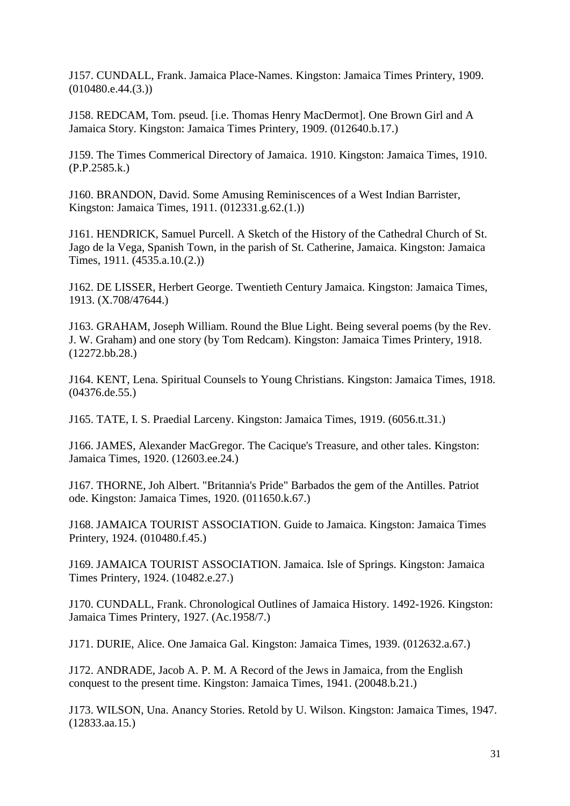J157. CUNDALL, Frank. Jamaica Place-Names. Kingston: Jamaica Times Printery, 1909.  $(010480.e.44(3))$ 

J158. REDCAM, Tom. pseud. [i.e. Thomas Henry MacDermot]. One Brown Girl and A Jamaica Story. Kingston: Jamaica Times Printery, 1909. (012640.b.17.)

J159. The Times Commerical Directory of Jamaica. 1910. Kingston: Jamaica Times, 1910. (P.P.2585.k.)

J160. BRANDON, David. Some Amusing Reminiscences of a West Indian Barrister, Kingston: Jamaica Times, 1911. (012331.g.62.(1.))

J161. HENDRICK, Samuel Purcell. A Sketch of the History of the Cathedral Church of St. Jago de la Vega, Spanish Town, in the parish of St. Catherine, Jamaica. Kingston: Jamaica Times, 1911. (4535.a.10.(2.))

J162. DE LISSER, Herbert George. Twentieth Century Jamaica. Kingston: Jamaica Times, 1913. (X.708/47644.)

J163. GRAHAM, Joseph William. Round the Blue Light. Being several poems (by the Rev. J. W. Graham) and one story (by Tom Redcam). Kingston: Jamaica Times Printery, 1918. (12272.bb.28.)

J164. KENT, Lena. Spiritual Counsels to Young Christians. Kingston: Jamaica Times, 1918. (04376.de.55.)

J165. TATE, I. S. Praedial Larceny. Kingston: Jamaica Times, 1919. (6056.tt.31.)

J166. JAMES, Alexander MacGregor. The Cacique's Treasure, and other tales. Kingston: Jamaica Times, 1920. (12603.ee.24.)

J167. THORNE, Joh Albert. "Britannia's Pride" Barbados the gem of the Antilles. Patriot ode. Kingston: Jamaica Times, 1920. (011650.k.67.)

J168. JAMAICA TOURIST ASSOCIATION. Guide to Jamaica. Kingston: Jamaica Times Printery, 1924. (010480.f.45.)

J169. JAMAICA TOURIST ASSOCIATION. Jamaica. Isle of Springs. Kingston: Jamaica Times Printery, 1924. (10482.e.27.)

J170. CUNDALL, Frank. Chronological Outlines of Jamaica History. 1492-1926. Kingston: Jamaica Times Printery, 1927. (Ac.1958/7.)

J171. DURIE, Alice. One Jamaica Gal. Kingston: Jamaica Times, 1939. (012632.a.67.)

J172. ANDRADE, Jacob A. P. M. A Record of the Jews in Jamaica, from the English conquest to the present time. Kingston: Jamaica Times, 1941. (20048.b.21.)

J173. WILSON, Una. Anancy Stories. Retold by U. Wilson. Kingston: Jamaica Times, 1947. (12833.aa.15.)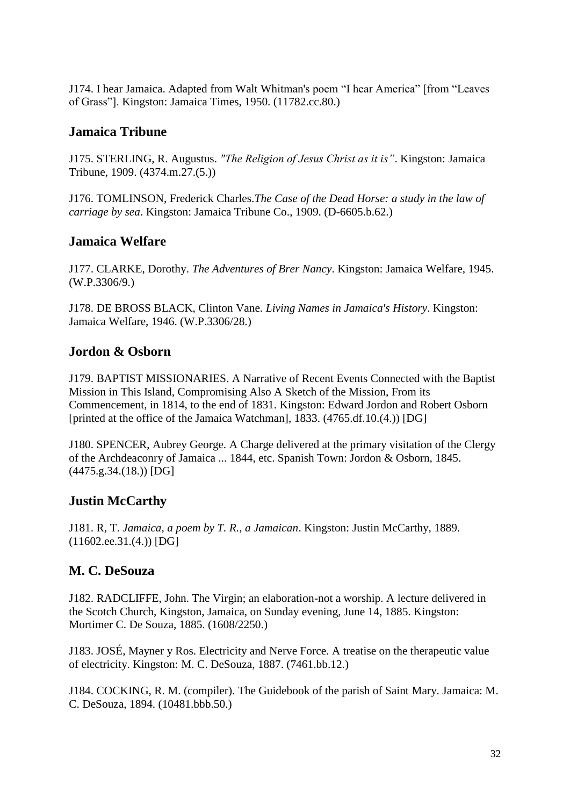J174. I hear Jamaica. Adapted from Walt Whitman's poem "I hear America" [from "Leaves of Grass"]. Kingston: Jamaica Times, 1950. (11782.cc.80.)

## <span id="page-31-0"></span>**Jamaica Tribune**

J175. STERLING, R. Augustus. *"The Religion of Jesus Christ as it is"*. Kingston: Jamaica Tribune, 1909. (4374.m.27.(5.))

J176. TOMLINSON, Frederick Charles.*The Case of the Dead Horse: a study in the law of carriage by sea*. Kingston: Jamaica Tribune Co., 1909. (D-6605.b.62.)

#### <span id="page-31-1"></span>**Jamaica Welfare**

J177. CLARKE, Dorothy. *The Adventures of Brer Nancy*. Kingston: Jamaica Welfare, 1945. (W.P.3306/9.)

J178. DE BROSS BLACK, Clinton Vane. *Living Names in Jamaica's History*. Kingston: Jamaica Welfare, 1946. (W.P.3306/28.)

#### <span id="page-31-2"></span>**Jordon & Osborn**

J179. BAPTIST MISSIONARIES. A Narrative of Recent Events Connected with the Baptist Mission in This Island, Compromising Also A Sketch of the Mission, From its Commencement, in 1814, to the end of 1831. Kingston: Edward Jordon and Robert Osborn [printed at the office of the Jamaica Watchman], 1833. (4765.df.10.(4.)) [DG]

J180. SPENCER, Aubrey George. A Charge delivered at the primary visitation of the Clergy of the Archdeaconry of Jamaica ... 1844, etc. Spanish Town: Jordon & Osborn, 1845. (4475.g.34.(18.)) [DG]

# <span id="page-31-3"></span>**Justin McCarthy**

J181. R, T. *Jamaica, a poem by T. R., a Jamaican*. Kingston: Justin McCarthy, 1889. (11602.ee.31.(4.)) [DG]

# <span id="page-31-4"></span>**M. C. DeSouza**

J182. RADCLIFFE, John. The Virgin; an elaboration-not a worship. A lecture delivered in the Scotch Church, Kingston, Jamaica, on Sunday evening, June 14, 1885. Kingston: Mortimer C. De Souza, 1885. (1608/2250.)

J183. JOSÉ, Mayner y Ros. Electricity and Nerve Force. A treatise on the therapeutic value of electricity. Kingston: M. C. DeSouza, 1887. (7461.bb.12.)

J184. COCKING, R. M. (compiler). The Guidebook of the parish of Saint Mary. Jamaica: M. C. DeSouza, 1894. (10481.bbb.50.)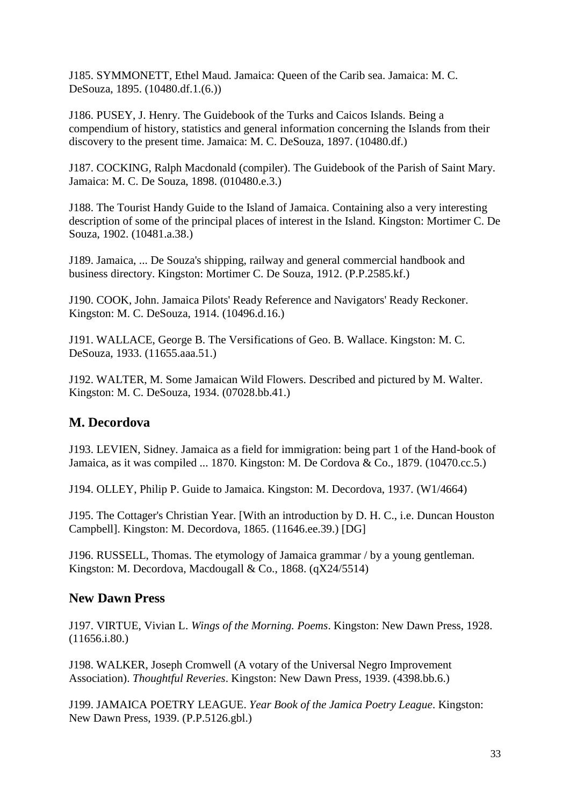J185. SYMMONETT, Ethel Maud. Jamaica: Queen of the Carib sea. Jamaica: M. C. DeSouza, 1895. (10480.df.1.(6.))

J186. PUSEY, J. Henry. The Guidebook of the Turks and Caicos Islands. Being a compendium of history, statistics and general information concerning the Islands from their discovery to the present time. Jamaica: M. C. DeSouza, 1897. (10480.df.)

J187. COCKING, Ralph Macdonald (compiler). The Guidebook of the Parish of Saint Mary. Jamaica: M. C. De Souza, 1898. (010480.e.3.)

J188. The Tourist Handy Guide to the Island of Jamaica. Containing also a very interesting description of some of the principal places of interest in the Island. Kingston: Mortimer C. De Souza, 1902. (10481.a.38.)

J189. Jamaica, ... De Souza's shipping, railway and general commercial handbook and business directory. Kingston: Mortimer C. De Souza, 1912. (P.P.2585.kf.)

J190. COOK, John. Jamaica Pilots' Ready Reference and Navigators' Ready Reckoner. Kingston: M. C. DeSouza, 1914. (10496.d.16.)

J191. WALLACE, George B. The Versifications of Geo. B. Wallace. Kingston: M. C. DeSouza, 1933. (11655.aaa.51.)

J192. WALTER, M. Some Jamaican Wild Flowers. Described and pictured by M. Walter. Kingston: M. C. DeSouza, 1934. (07028.bb.41.)

# <span id="page-32-0"></span>**M. Decordova**

J193. LEVIEN, Sidney. Jamaica as a field for immigration: being part 1 of the Hand-book of Jamaica, as it was compiled ... 1870. Kingston: M. De Cordova & Co., 1879. (10470.cc.5.)

J194. OLLEY, Philip P. Guide to Jamaica. Kingston: M. Decordova, 1937. (W1/4664)

J195. The Cottager's Christian Year. [With an introduction by D. H. C., i.e. Duncan Houston Campbell]. Kingston: M. Decordova, 1865. (11646.ee.39.) [DG]

J196. RUSSELL, Thomas. The etymology of Jamaica grammar / by a young gentleman. Kingston: M. Decordova, Macdougall & Co., 1868. (qX24/5514)

#### <span id="page-32-1"></span>**New Dawn Press**

J197. VIRTUE, Vivian L. *Wings of the Morning. Poems*. Kingston: New Dawn Press, 1928. (11656.i.80.)

J198. WALKER, Joseph Cromwell (A votary of the Universal Negro Improvement Association). *Thoughtful Reveries*. Kingston: New Dawn Press, 1939. (4398.bb.6.)

J199. JAMAICA POETRY LEAGUE. *Year Book of the Jamica Poetry League*. Kingston: New Dawn Press, 1939. (P.P.5126.gbl.)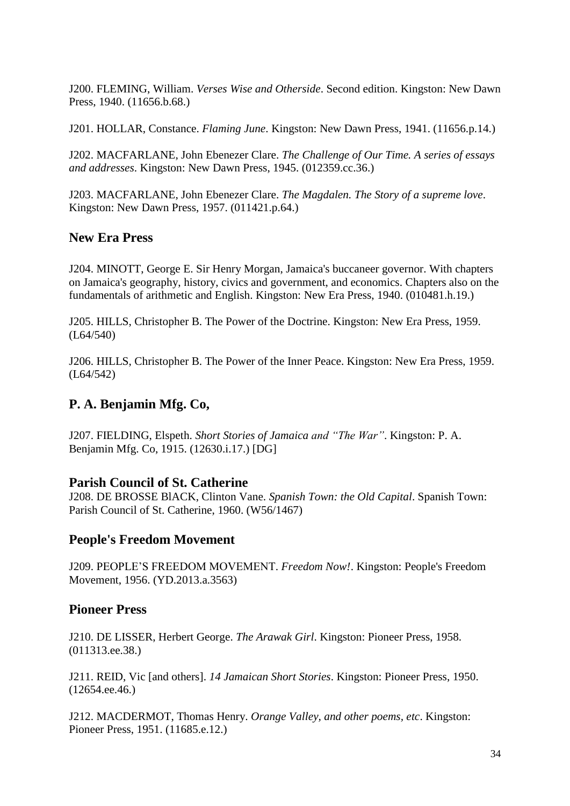J200. FLEMING, William. *Verses Wise and Otherside*. Second edition. Kingston: New Dawn Press, 1940. (11656.b.68.)

J201. HOLLAR, Constance. *Flaming June*. Kingston: New Dawn Press, 1941. (11656.p.14.)

J202. MACFARLANE, John Ebenezer Clare. *The Challenge of Our Time. A series of essays and addresses*. Kingston: New Dawn Press, 1945. (012359.cc.36.)

J203. MACFARLANE, John Ebenezer Clare. *The Magdalen. The Story of a supreme love*. Kingston: New Dawn Press, 1957. (011421.p.64.)

#### <span id="page-33-0"></span>**New Era Press**

J204. MINOTT, George E. Sir Henry Morgan, Jamaica's buccaneer governor. With chapters on Jamaica's geography, history, civics and government, and economics. Chapters also on the fundamentals of arithmetic and English. Kingston: New Era Press, 1940. (010481.h.19.)

J205. HILLS, Christopher B. The Power of the Doctrine. Kingston: New Era Press, 1959. (L64/540)

J206. HILLS, Christopher B. The Power of the Inner Peace. Kingston: New Era Press, 1959. (L64/542)

# <span id="page-33-1"></span>**P. A. Benjamin Mfg. Co,**

J207. FIELDING, Elspeth. *Short Stories of Jamaica and "The War"*. Kingston: P. A. Benjamin Mfg. Co, 1915. (12630.i.17.) [DG]

#### <span id="page-33-2"></span>**Parish Council of St. Catherine**

J208. DE BROSSE BlACK, Clinton Vane. *Spanish Town: the Old Capital*. Spanish Town: Parish Council of St. Catherine, 1960. (W56/1467)

#### <span id="page-33-3"></span>**People's Freedom Movement**

J209. PEOPLE'S FREEDOM MOVEMENT. *Freedom Now!*. Kingston: People's Freedom Movement, 1956. (YD.2013.a.3563)

#### <span id="page-33-4"></span>**Pioneer Press**

J210. DE LISSER, Herbert George. *The Arawak Girl*. Kingston: Pioneer Press, 1958. (011313.ee.38.)

J211. REID, Vic [and others]. *14 Jamaican Short Stories*. Kingston: Pioneer Press, 1950. (12654.ee.46.)

J212. MACDERMOT, Thomas Henry. *Orange Valley, and other poems, etc*. Kingston: Pioneer Press, 1951. (11685.e.12.)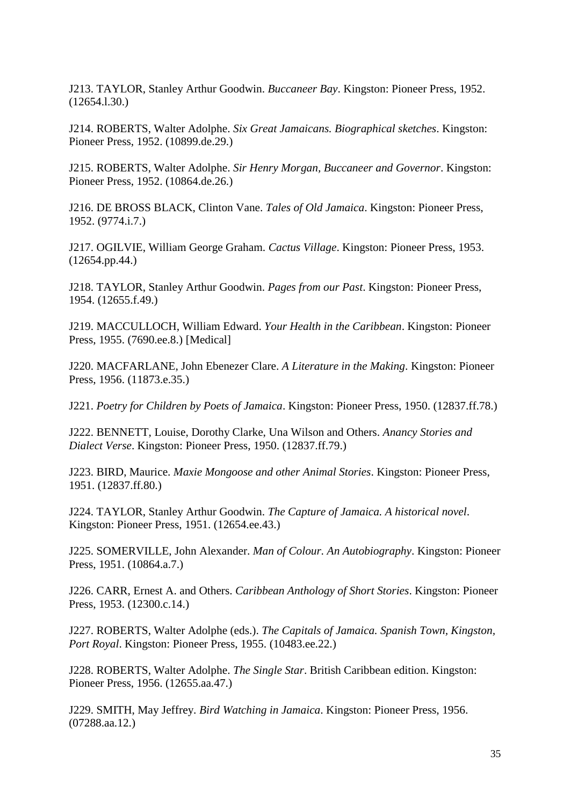J213. TAYLOR, Stanley Arthur Goodwin. *Buccaneer Bay*. Kingston: Pioneer Press, 1952. (12654.l.30.)

J214. ROBERTS, Walter Adolphe. *Six Great Jamaicans. Biographical sketches*. Kingston: Pioneer Press, 1952. (10899.de.29.)

J215. ROBERTS, Walter Adolphe. *Sir Henry Morgan, Buccaneer and Governor*. Kingston: Pioneer Press, 1952. (10864.de.26.)

J216. DE BROSS BLACK, Clinton Vane. *Tales of Old Jamaica*. Kingston: Pioneer Press, 1952. (9774.i.7.)

J217. OGILVIE, William George Graham. *Cactus Village*. Kingston: Pioneer Press, 1953. (12654.pp.44.)

J218. TAYLOR, Stanley Arthur Goodwin. *Pages from our Past*. Kingston: Pioneer Press, 1954. (12655.f.49.)

J219. MACCULLOCH, William Edward. *Your Health in the Caribbean*. Kingston: Pioneer Press, 1955. (7690.ee.8.) [Medical]

J220. MACFARLANE, John Ebenezer Clare. *A Literature in the Making*. Kingston: Pioneer Press, 1956. (11873.e.35.)

J221. *Poetry for Children by Poets of Jamaica*. Kingston: Pioneer Press, 1950. (12837.ff.78.)

J222. BENNETT, Louise, Dorothy Clarke, Una Wilson and Others. *Anancy Stories and Dialect Verse*. Kingston: Pioneer Press, 1950. (12837.ff.79.)

J223. BIRD, Maurice. *Maxie Mongoose and other Animal Stories*. Kingston: Pioneer Press, 1951. (12837.ff.80.)

J224. TAYLOR, Stanley Arthur Goodwin. *The Capture of Jamaica. A historical novel*. Kingston: Pioneer Press, 1951. (12654.ee.43.)

J225. SOMERVILLE, John Alexander. *Man of Colour. An Autobiography*. Kingston: Pioneer Press, 1951. (10864.a.7.)

J226. CARR, Ernest A. and Others. *Caribbean Anthology of Short Stories*. Kingston: Pioneer Press, 1953. (12300.c.14.)

J227. ROBERTS, Walter Adolphe (eds.). *The Capitals of Jamaica. Spanish Town, Kingston, Port Royal*. Kingston: Pioneer Press, 1955. (10483.ee.22.)

J228. ROBERTS, Walter Adolphe. *The Single Star*. British Caribbean edition. Kingston: Pioneer Press, 1956. (12655.aa.47.)

J229. SMITH, May Jeffrey. *Bird Watching in Jamaica*. Kingston: Pioneer Press, 1956. (07288.aa.12.)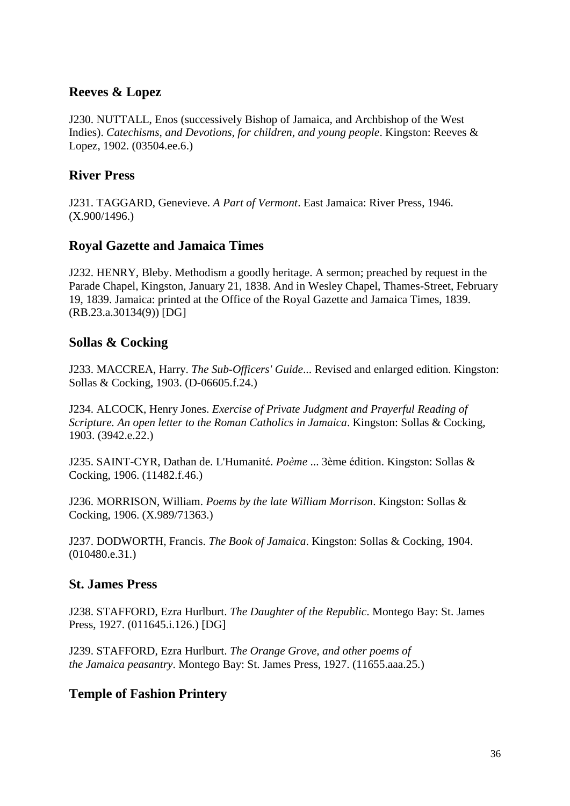#### <span id="page-35-0"></span>**Reeves & Lopez**

J230. NUTTALL, Enos (successively Bishop of Jamaica, and Archbishop of the West Indies). *Catechisms, and Devotions, for children, and young people*. Kingston: Reeves & Lopez, 1902. (03504.ee.6.)

# <span id="page-35-1"></span>**River Press**

J231. TAGGARD, Genevieve. *A Part of Vermont*. East Jamaica: River Press, 1946. (X.900/1496.)

# <span id="page-35-2"></span>**Royal Gazette and Jamaica Times**

J232. HENRY, Bleby. Methodism a goodly heritage. A sermon; preached by request in the Parade Chapel, Kingston, January 21, 1838. And in Wesley Chapel, Thames-Street, February 19, 1839. Jamaica: printed at the Office of the Royal Gazette and Jamaica Times, 1839. (RB.23.a.30134(9)) [DG]

# <span id="page-35-3"></span>**Sollas & Cocking**

J233. MACCREA, Harry. *The Sub-Officers' Guide*... Revised and enlarged edition. Kingston: Sollas & Cocking, 1903. (D-06605.f.24.)

J234. ALCOCK, Henry Jones. *Exercise of Private Judgment and Prayerful Reading of Scripture. An open letter to the Roman Catholics in Jamaica*. Kingston: Sollas & Cocking, 1903. (3942.e.22.)

J235. SAINT-CYR, Dathan de. L'Humanité. *Poème* ... 3ème édition. Kingston: Sollas & Cocking, 1906. (11482.f.46.)

J236. MORRISON, William. *Poems by the late William Morrison*. Kingston: Sollas & Cocking, 1906. (X.989/71363.)

J237. DODWORTH, Francis. *The Book of Jamaica*. Kingston: Sollas & Cocking, 1904. (010480.e.31.)

#### <span id="page-35-4"></span>**St. James Press**

J238. STAFFORD, Ezra Hurlburt. *The Daughter of the Republic*. Montego Bay: St. James Press, 1927. (011645.i.126.) [DG]

J239. STAFFORD, Ezra Hurlburt. *The Orange Grove, and other poems of the Jamaica peasantry*. Montego Bay: St. James Press, 1927. (11655.aaa.25.)

# <span id="page-35-5"></span>**Temple of Fashion Printery**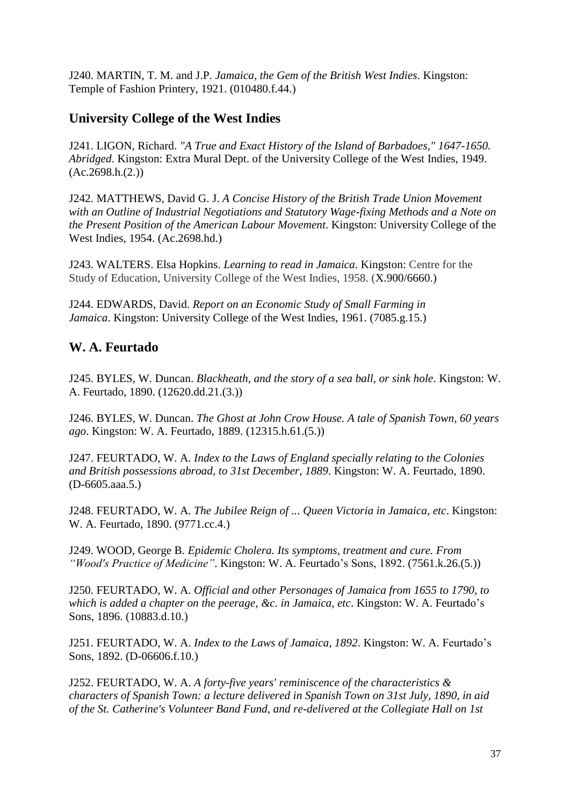J240. MARTIN, T. M. and J.P. *Jamaica, the Gem of the British West Indies*. Kingston: Temple of Fashion Printery, 1921. (010480.f.44.)

# <span id="page-36-0"></span>**University College of the West Indies**

J241. LIGON, Richard. *"A True and Exact History of the Island of Barbadoes," 1647-1650. Abridged*. Kingston: Extra Mural Dept. of the University College of the West Indies, 1949.  $(Ac.2698.h.(2.))$ 

J242. MATTHEWS, David G. J. *A Concise History of the British Trade Union Movement with an Outline of Industrial Negotiations and Statutory Wage-fixing Methods and a Note on the Present Position of the American Labour Movement*. Kingston: University College of the West Indies, 1954. (Ac.2698.hd.)

J243. WALTERS. Elsa Hopkins. *Learning to read in Jamaica*. Kingston: Centre for the Study of Education, University College of the West Indies, 1958. (X.900/6660.)

J244. EDWARDS, David. *Report on an Economic Study of Small Farming in Jamaica*. Kingston: University College of the West Indies, 1961. (7085.g.15.)

# <span id="page-36-1"></span>**W. A. Feurtado**

J245. BYLES, W. Duncan. *Blackheath, and the story of a sea ball, or sink hole*. Kingston: W. A. Feurtado, 1890. (12620.dd.21.(3.))

J246. BYLES, W. Duncan. *The Ghost at John Crow House. A tale of Spanish Town, 60 years ago*. Kingston: W. A. Feurtado, 1889. (12315.h.61.(5.))

J247. FEURTADO, W. A. *Index to the Laws of England specially relating to the Colonies and British possessions abroad, to 31st December, 1889*. Kingston: W. A. Feurtado, 1890. (D-6605.aaa.5.)

J248. FEURTADO, W. A. *The Jubilee Reign of ... Queen Victoria in Jamaica, etc*. Kingston: W. A. Feurtado, 1890. (9771.cc.4.)

J249. WOOD, George B. *Epidemic Cholera. Its symptoms, treatment and cure. From "Wood's Practice of Medicine"*. Kingston: W. A. Feurtado's Sons, 1892. (7561.k.26.(5.))

J250. FEURTADO, W. A. *Official and other Personages of Jamaica from 1655 to 1790, to which is added a chapter on the peerage, &c. in Jamaica, etc*. Kingston: W. A. Feurtado's Sons, 1896. (10883.d.10.)

J251. FEURTADO, W. A. *Index to the Laws of Jamaica, 1892*. Kingston: W. A. Feurtado's Sons, 1892. (D-06606.f.10.)

J252. FEURTADO, W. A. *A forty-five years' reminiscence of the characteristics & characters of Spanish Town: a lecture delivered in Spanish Town on 31st July, 1890, in aid of the St. Catherine's Volunteer Band Fund, and re-delivered at the Collegiate Hall on 1st*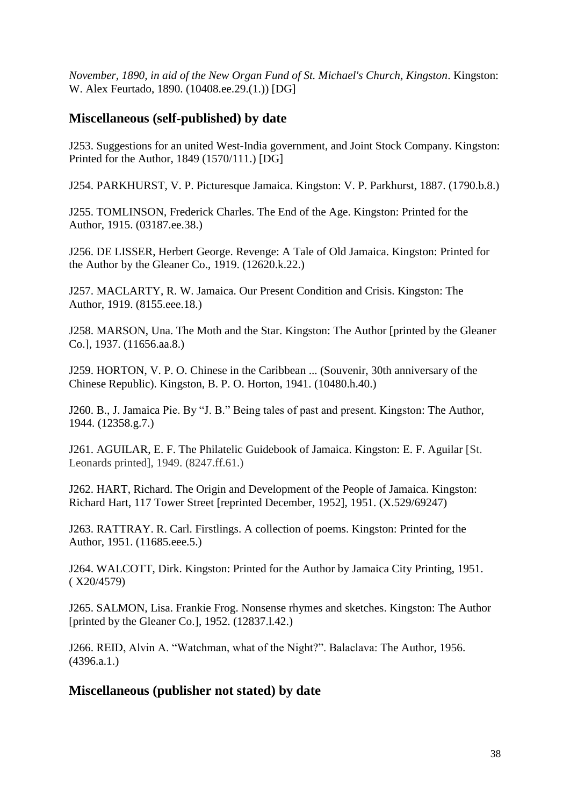*November, 1890, in aid of the New Organ Fund of St. Michael's Church, Kingston*. Kingston: W. Alex Feurtado, 1890. (10408.ee.29.(1.)) [DG]

#### <span id="page-37-0"></span>**Miscellaneous (self-published) by date**

J253. Suggestions for an united West-India government, and Joint Stock Company. Kingston: Printed for the Author, 1849 (1570/111.) [DG]

J254. PARKHURST, V. P. Picturesque Jamaica. Kingston: V. P. Parkhurst, 1887. (1790.b.8.)

J255. TOMLINSON, Frederick Charles. The End of the Age. Kingston: Printed for the Author, 1915. (03187.ee.38.)

J256. DE LISSER, Herbert George. Revenge: A Tale of Old Jamaica. Kingston: Printed for the Author by the Gleaner Co., 1919. (12620.k.22.)

J257. MACLARTY, R. W. Jamaica. Our Present Condition and Crisis. Kingston: The Author, 1919. (8155.eee.18.)

J258. MARSON, Una. The Moth and the Star. Kingston: The Author [printed by the Gleaner Co.], 1937. (11656.aa.8.)

J259. HORTON, V. P. O. Chinese in the Caribbean ... (Souvenir, 30th anniversary of the Chinese Republic). Kingston, B. P. O. Horton, 1941. (10480.h.40.)

J260. B., J. Jamaica Pie. By "J. B." Being tales of past and present. Kingston: The Author, 1944. (12358.g.7.)

J261. AGUILAR, E. F. The Philatelic Guidebook of Jamaica. Kingston: E. F. Aguilar [St. Leonards printed], 1949. (8247.ff.61.)

J262. HART, Richard. The Origin and Development of the People of Jamaica. Kingston: Richard Hart, 117 Tower Street [reprinted December, 1952], 1951. (X.529/69247)

J263. RATTRAY. R. Carl. Firstlings. A collection of poems. Kingston: Printed for the Author, 1951. (11685.eee.5.)

J264. WALCOTT, Dirk. Kingston: Printed for the Author by Jamaica City Printing, 1951. ( X20/4579)

J265. SALMON, Lisa. Frankie Frog. Nonsense rhymes and sketches. Kingston: The Author [printed by the Gleaner Co.], 1952. (12837.l.42.)

J266. REID, Alvin A. "Watchman, what of the Night?". Balaclava: The Author, 1956.  $(4396.a.1.)$ 

#### <span id="page-37-1"></span>**Miscellaneous (publisher not stated) by date**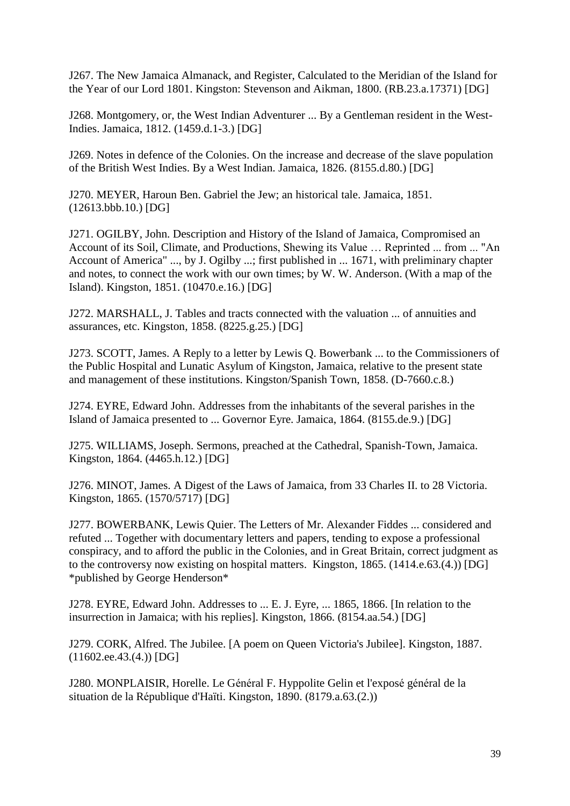J267. The New Jamaica Almanack, and Register, Calculated to the Meridian of the Island for the Year of our Lord 1801. Kingston: Stevenson and Aikman, 1800. (RB.23.a.17371) [DG]

J268. Montgomery, or, the West Indian Adventurer ... By a Gentleman resident in the West-Indies. Jamaica, 1812. (1459.d.1-3.) [DG]

J269. Notes in defence of the Colonies. On the increase and decrease of the slave population of the British West Indies. By a West Indian. Jamaica, 1826. (8155.d.80.) [DG]

J270. MEYER, Haroun Ben. Gabriel the Jew; an historical tale. Jamaica, 1851. (12613.bbb.10.) [DG]

J271. OGILBY, John. Description and History of the Island of Jamaica, Compromised an Account of its Soil, Climate, and Productions, Shewing its Value … Reprinted ... from ... "An Account of America" ..., by J. Ogilby ...; first published in ... 1671, with preliminary chapter and notes, to connect the work with our own times; by W. W. Anderson. (With a map of the Island). Kingston, 1851. (10470.e.16.) [DG]

J272. MARSHALL, J. Tables and tracts connected with the valuation ... of annuities and assurances, etc. Kingston, 1858. (8225.g.25.) [DG]

J273. SCOTT, James. A Reply to a letter by Lewis Q. Bowerbank ... to the Commissioners of the Public Hospital and Lunatic Asylum of Kingston, Jamaica, relative to the present state and management of these institutions. Kingston/Spanish Town, 1858. (D-7660.c.8.)

J274. EYRE, Edward John. Addresses from the inhabitants of the several parishes in the Island of Jamaica presented to ... Governor Eyre. Jamaica, 1864. (8155.de.9.) [DG]

J275. WILLIAMS, Joseph. Sermons, preached at the Cathedral, Spanish-Town, Jamaica. Kingston, 1864. (4465.h.12.) [DG]

J276. MINOT, James. A Digest of the Laws of Jamaica, from 33 Charles II. to 28 Victoria. Kingston, 1865. (1570/5717) [DG]

J277. BOWERBANK, Lewis Quier. The Letters of Mr. Alexander Fiddes ... considered and refuted ... Together with documentary letters and papers, tending to expose a professional conspiracy, and to afford the public in the Colonies, and in Great Britain, correct judgment as to the controversy now existing on hospital matters. Kingston, 1865. (1414.e.63.(4.)) [DG] \*published by George Henderson\*

J278. EYRE, Edward John. Addresses to ... E. J. Eyre, ... 1865, 1866. [In relation to the insurrection in Jamaica; with his replies]. Kingston, 1866. (8154.aa.54.) [DG]

J279. CORK, Alfred. The Jubilee. [A poem on Queen Victoria's Jubilee]. Kingston, 1887. (11602.ee.43.(4.)) [DG]

J280. MONPLAISIR, Horelle. Le Général F. Hyppolite Gelin et l'exposé général de la situation de la République d'Haïti. Kingston, 1890. (8179.a.63.(2.))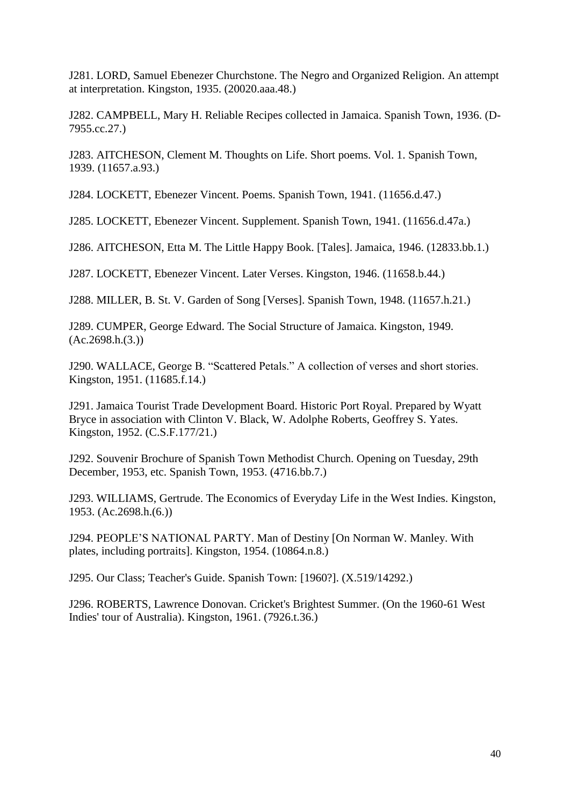J281. LORD, Samuel Ebenezer Churchstone. The Negro and Organized Religion. An attempt at interpretation. Kingston, 1935. (20020.aaa.48.)

J282. CAMPBELL, Mary H. Reliable Recipes collected in Jamaica. Spanish Town, 1936. (D-7955.cc.27.)

J283. AITCHESON, Clement M. Thoughts on Life. Short poems. Vol. 1. Spanish Town, 1939. (11657.a.93.)

J284. LOCKETT, Ebenezer Vincent. Poems. Spanish Town, 1941. (11656.d.47.)

J285. LOCKETT, Ebenezer Vincent. Supplement. Spanish Town, 1941. (11656.d.47a.)

J286. AITCHESON, Etta M. The Little Happy Book. [Tales]. Jamaica, 1946. (12833.bb.1.)

J287. LOCKETT, Ebenezer Vincent. Later Verses. Kingston, 1946. (11658.b.44.)

J288. MILLER, B. St. V. Garden of Song [Verses]. Spanish Town, 1948. (11657.h.21.)

J289. CUMPER, George Edward. The Social Structure of Jamaica. Kingston, 1949.  $(Ac.2698.h.(3))$ 

J290. WALLACE, George B. "Scattered Petals." A collection of verses and short stories. Kingston, 1951. (11685.f.14.)

J291. Jamaica Tourist Trade Development Board. Historic Port Royal. Prepared by Wyatt Bryce in association with Clinton V. Black, W. Adolphe Roberts, Geoffrey S. Yates. Kingston, 1952. (C.S.F.177/21.)

J292. Souvenir Brochure of Spanish Town Methodist Church. Opening on Tuesday, 29th December, 1953, etc. Spanish Town, 1953. (4716.bb.7.)

J293. WILLIAMS, Gertrude. The Economics of Everyday Life in the West Indies. Kingston, 1953. (Ac.2698.h.(6.))

J294. PEOPLE'S NATIONAL PARTY. Man of Destiny [On Norman W. Manley. With plates, including portraits]. Kingston, 1954. (10864.n.8.)

J295. Our Class; Teacher's Guide. Spanish Town: [1960?]. (X.519/14292.)

J296. ROBERTS, Lawrence Donovan. Cricket's Brightest Summer. (On the 1960-61 West Indies' tour of Australia). Kingston, 1961. (7926.t.36.)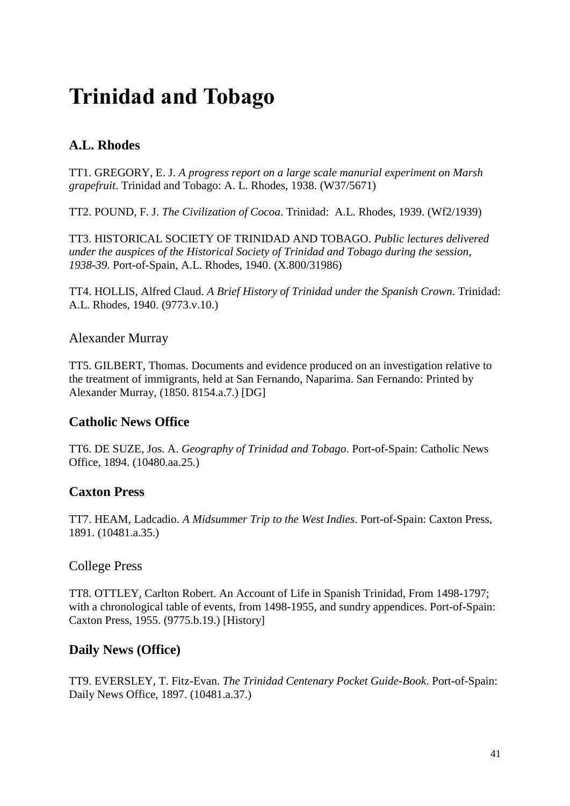# <span id="page-40-0"></span>**Trinidad and Tobago**

# <span id="page-40-1"></span>**A.L. Rhodes**

TT1. GREGORY, E. J. *A progress report on a large scale manurial experiment on Marsh grapefruit*. Trinidad and Tobago: A. L. Rhodes, 1938. (W37/5671)

TT2. POUND, F. J. *The Civilization of Cocoa*. Trinidad: A.L. Rhodes, 1939. (Wf2/1939)

TT3. HISTORICAL SOCIETY OF TRINIDAD AND TOBAGO. *Public lectures delivered under the auspices of the Historical Society of Trinidad and Tobago during the session, 1938-39.* Port-of-Spain, A.L. Rhodes, 1940. (X.800/31986)

TT4. HOLLIS, Alfred Claud. *A Brief History of Trinidad under the Spanish Crown*. Trinidad: A.L. Rhodes, 1940. (9773.v.10.)

#### <span id="page-40-2"></span>Alexander Murray

TT5. GILBERT, Thomas. Documents and evidence produced on an investigation relative to the treatment of immigrants, held at San Fernando, Naparima. San Fernando: Printed by Alexander Murray, (1850. 8154.a.7.) [DG]

# <span id="page-40-3"></span>**Catholic News Office**

TT6. DE SUZE, Jos. A. *Geography of Trinidad and Tobago*. Port-of-Spain: Catholic News Office, 1894. (10480.aa.25.)

#### <span id="page-40-4"></span>**Caxton Press**

TT7. HEAM, Ladcadio. *A Midsummer Trip to the West Indies*. Port-of-Spain: Caxton Press, 1891. (10481.a.35.)

#### <span id="page-40-5"></span>College Press

TT8. OTTLEY, Carlton Robert. An Account of Life in Spanish Trinidad, From 1498-1797; with a chronological table of events, from 1498-1955, and sundry appendices. Port-of-Spain: Caxton Press, 1955. (9775.b.19.) [History]

#### <span id="page-40-6"></span>**Daily News (Office)**

TT9. EVERSLEY, T. Fitz-Evan. *The Trinidad Centenary Pocket Guide-Book*. Port-of-Spain: Daily News Office, 1897. (10481.a.37.)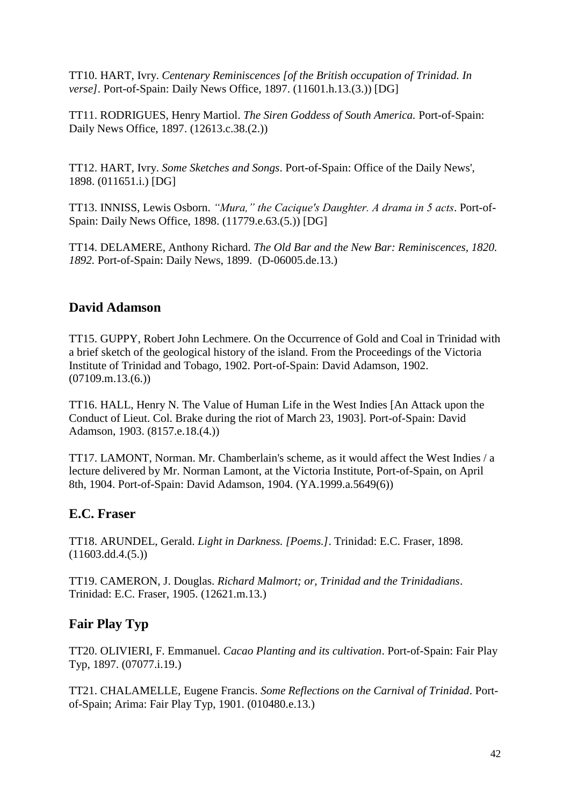TT10. HART, Ivry. *Centenary Reminiscences [of the British occupation of Trinidad. In verse]*. Port-of-Spain: Daily News Office, 1897. (11601.h.13.(3.)) [DG]

TT11. RODRIGUES, Henry Martiol. *The Siren Goddess of South America.* Port-of-Spain: Daily News Office, 1897. (12613.c.38.(2.))

TT12. HART, Ivry. *Some Sketches and Songs*. Port-of-Spain: Office of the Daily News', 1898. (011651.i.) [DG]

TT13. INNISS, Lewis Osborn. *"Mura," the Cacique's Daughter. A drama in 5 acts*. Port-of-Spain: Daily News Office, 1898. (11779.e.63.(5.)) [DG]

TT14. DELAMERE, Anthony Richard. *The Old Bar and the New Bar: Reminiscences, 1820. 1892.* Port-of-Spain: Daily News, 1899. (D-06005.de.13.)

# <span id="page-41-0"></span>**David Adamson**

TT15. GUPPY, Robert John Lechmere. On the Occurrence of Gold and Coal in Trinidad with a brief sketch of the geological history of the island. From the Proceedings of the Victoria Institute of Trinidad and Tobago, 1902. Port-of-Spain: David Adamson, 1902.  $(07109 \text{.m}.13(6.))$ 

TT16. HALL, Henry N. The Value of Human Life in the West Indies [An Attack upon the Conduct of Lieut. Col. Brake during the riot of March 23, 1903]. Port-of-Spain: David Adamson, 1903. (8157.e.18.(4.))

TT17. LAMONT, Norman. Mr. Chamberlain's scheme, as it would affect the West Indies / a lecture delivered by Mr. Norman Lamont, at the Victoria Institute, Port-of-Spain, on April 8th, 1904. Port-of-Spain: David Adamson, 1904. (YA.1999.a.5649(6))

# <span id="page-41-1"></span>**E.C. Fraser**

TT18. ARUNDEL, Gerald. *Light in Darkness. [Poems.]*. Trinidad: E.C. Fraser, 1898.  $(11603.dd.4.(5.))$ 

TT19. CAMERON, J. Douglas. *Richard Malmort; or, Trinidad and the Trinidadians*. Trinidad: E.C. Fraser, 1905. (12621.m.13.)

# <span id="page-41-2"></span>**Fair Play Typ**

TT20. OLIVIERI, F. Emmanuel. *Cacao Planting and its cultivation*. Port-of-Spain: Fair Play Typ, 1897. (07077.i.19.)

TT21. CHALAMELLE, Eugene Francis. *Some Reflections on the Carnival of Trinidad*. Portof-Spain; Arima: Fair Play Typ, 1901. (010480.e.13.)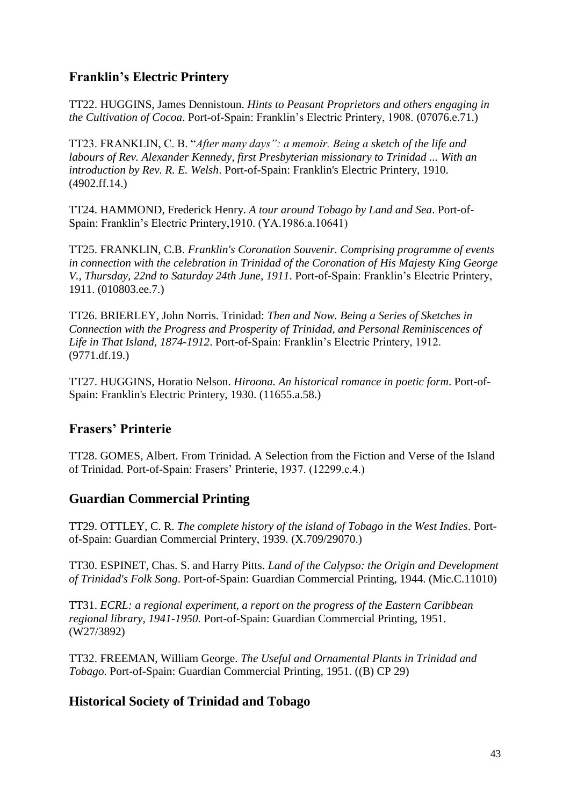# <span id="page-42-0"></span>**Franklin's Electric Printery**

TT22. HUGGINS, James Dennistoun. *Hints to Peasant Proprietors and others engaging in the Cultivation of Cocoa*. Port-of-Spain: Franklin's Electric Printery, 1908. (07076.e.71.)

TT23. FRANKLIN, C. B. "*After many days": a memoir. Being a sketch of the life and labours of Rev. Alexander Kennedy, first Presbyterian missionary to Trinidad ... With an introduction by Rev. R. E. Welsh*. Port-of-Spain: Franklin's Electric Printery, 1910. (4902.ff.14.)

TT24. HAMMOND, Frederick Henry. *A tour around Tobago by Land and Sea*. Port-of-Spain: Franklin's Electric Printery,1910. (YA.1986.a.10641)

TT25. FRANKLIN, C.B. *Franklin's Coronation Souvenir. Comprising programme of events in connection with the celebration in Trinidad of the Coronation of His Majesty King George V., Thursday, 22nd to Saturday 24th June, 1911*. Port-of-Spain: Franklin's Electric Printery, 1911. (010803.ee.7.)

TT26. BRIERLEY, John Norris. Trinidad: *Then and Now. Being a Series of Sketches in Connection with the Progress and Prosperity of Trinidad, and Personal Reminiscences of Life in That Island, 1874-1912*. Port-of-Spain: Franklin's Electric Printery, 1912. (9771.df.19.)

TT27. HUGGINS, Horatio Nelson. *Hiroona. An historical romance in poetic form*. Port-of-Spain: Franklin's Electric Printery, 1930. (11655.a.58.)

# <span id="page-42-1"></span>**Frasers' Printerie**

TT28. GOMES, Albert. From Trinidad. A Selection from the Fiction and Verse of the Island of Trinidad. Port-of-Spain: Frasers' Printerie, 1937. (12299.c.4.)

# <span id="page-42-2"></span>**Guardian Commercial Printing**

TT29. OTTLEY, C. R. *The complete history of the island of Tobago in the West Indies*. Portof-Spain: Guardian Commercial Printery, 1939. (X.709/29070.)

TT30. ESPINET, Chas. S. and Harry Pitts. *Land of the Calypso: the Origin and Development of Trinidad's Folk Song*. Port-of-Spain: Guardian Commercial Printing, 1944. (Mic.C.11010)

TT31. *ECRL: a regional experiment, a report on the progress of the Eastern Caribbean regional library, 1941-1950.* Port-of-Spain: Guardian Commercial Printing, 1951. (W27/3892)

TT32. FREEMAN, William George. *The Useful and Ornamental Plants in Trinidad and Tobago*. Port-of-Spain: Guardian Commercial Printing, 1951. ((B) CP 29)

# <span id="page-42-3"></span>**Historical Society of Trinidad and Tobago**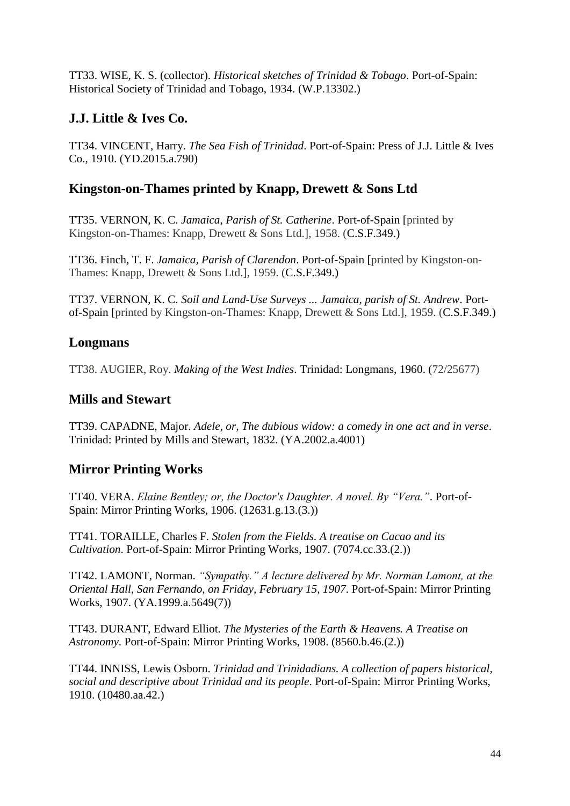TT33. WISE, K. S. (collector). *Historical sketches of Trinidad & Tobago*. Port-of-Spain: Historical Society of Trinidad and Tobago, 1934. (W.P.13302.)

# <span id="page-43-0"></span>**J.J. Little & Ives Co.**

TT34. VINCENT, Harry. *The Sea Fish of Trinidad*. Port-of-Spain: Press of J.J. Little & Ives Co., 1910. (YD.2015.a.790)

# <span id="page-43-1"></span>**Kingston-on-Thames printed by Knapp, Drewett & Sons Ltd**

TT35. VERNON, K. C. *Jamaica*, *Parish of St. Catherine*. Port-of-Spain [printed by Kingston-on-Thames: Knapp, Drewett & Sons Ltd.], 1958. (C.S.F.349.)

TT36. Finch, T. F. *Jamaica, Parish of Clarendon*. Port-of-Spain [printed by Kingston-on-Thames: Knapp, Drewett & Sons Ltd.], 1959. (C.S.F.349.)

TT37. VERNON, K. C. *Soil and Land-Use Surveys ... Jamaica, parish of St. Andrew*. Portof-Spain [printed by Kingston-on-Thames: Knapp, Drewett & Sons Ltd.], 1959. (C.S.F.349.)

# <span id="page-43-2"></span>**Longmans**

TT38. AUGIER, Roy. *Making of the West Indies*. Trinidad: Longmans, 1960. (72/25677)

# <span id="page-43-3"></span>**Mills and Stewart**

TT39. CAPADNE, Major. *Adele, or, The dubious widow: a comedy in one act and in verse*. Trinidad: Printed by Mills and Stewart, 1832. (YA.2002.a.4001)

# <span id="page-43-4"></span>**Mirror Printing Works**

TT40. VERA. *Elaine Bentley; or, the Doctor's Daughter. A novel. By "Vera."*. Port-of-Spain: Mirror Printing Works, 1906. (12631.g.13.(3.))

TT41. TORAILLE, Charles F. *Stolen from the Fields. A treatise on Cacao and its Cultivation*. Port-of-Spain: Mirror Printing Works, 1907. (7074.cc.33.(2.))

TT42. LAMONT, Norman. *"Sympathy." A lecture delivered by Mr. Norman Lamont, at the Oriental Hall, San Fernando, on Friday, February 15, 1907*. Port-of-Spain: Mirror Printing Works, 1907. (YA.1999.a.5649(7))

TT43. DURANT, Edward Elliot. *The Mysteries of the Earth & Heavens. A Treatise on Astronomy*. Port-of-Spain: Mirror Printing Works, 1908. (8560.b.46.(2.))

TT44. INNISS, Lewis Osborn. *Trinidad and Trinidadians. A collection of papers historical, social and descriptive about Trinidad and its people*. Port-of-Spain: Mirror Printing Works, 1910. (10480.aa.42.)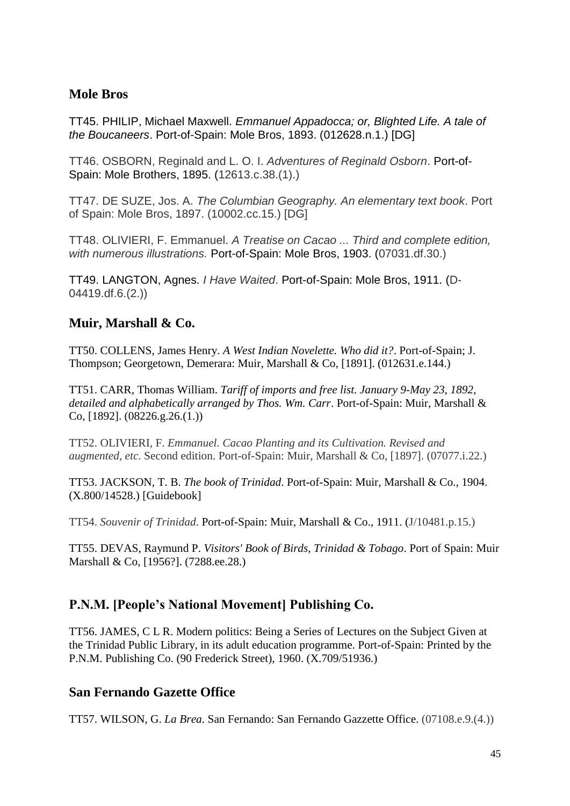## <span id="page-44-0"></span>**Mole Bros**

TT45. PHILIP, Michael Maxwell. *Emmanuel Appadocca; or, Blighted Life. A tale of the Boucaneers*. Port-of-Spain: Mole Bros, 1893. (012628.n.1.) [DG]

TT46. OSBORN, Reginald and L. O. I. *Adventures of Reginald Osborn*. Port-of-Spain: Mole Brothers, 1895. (12613.c.38.(1).)

TT47. DE SUZE, Jos. A. *The Columbian Geography. An elementary text book*. Port of Spain: Mole Bros, 1897. (10002.cc.15.) [DG]

TT48. OLIVIERI, F. Emmanuel. *A Treatise on Cacao ... Third and complete edition, with numerous illustrations.* Port-of-Spain: Mole Bros, 1903. (07031.df.30.)

TT49. LANGTON, Agnes. *I Have Waited*. Port-of-Spain: Mole Bros, 1911. (D-04419.df.6.(2.))

#### <span id="page-44-1"></span>**Muir, Marshall & Co.**

TT50. COLLENS, James Henry. *A West Indian Novelette. Who did it?*. Port-of-Spain; J. Thompson; Georgetown, Demerara: Muir, Marshall & Co, [1891]. (012631.e.144.)

TT51. CARR, Thomas William. *Tariff of imports and free list. January 9-May 23, 1892, detailed and alphabetically arranged by Thos. Wm. Carr*. Port-of-Spain: Muir, Marshall & Co, [1892]. (08226.g.26.(1.))

TT52. OLIVIERI, F. *Emmanuel. Cacao Planting and its Cultivation. Revised and augmented, etc*. Second edition. Port-of-Spain: Muir, Marshall & Co, [1897]. (07077.i.22.)

TT53. JACKSON, T. B. *The book of Trinidad*. Port-of-Spain: Muir, Marshall & Co., 1904. (X.800/14528.) [Guidebook]

TT54. *Souvenir of Trinidad*. Port-of-Spain: Muir, Marshall & Co., 1911. (J/10481.p.15.)

TT55. DEVAS, Raymund P. *Visitors' Book of Birds, Trinidad & Tobago*. Port of Spain: Muir Marshall & Co, [1956?]. (7288.ee.28.)

# <span id="page-44-2"></span>**P.N.M. [People's National Movement] Publishing Co.**

TT56. JAMES, C L R. Modern politics: Being a Series of Lectures on the Subject Given at the Trinidad Public Library, in its adult education programme. Port-of-Spain: Printed by the P.N.M. Publishing Co. (90 Frederick Street), 1960. (X.709/51936.)

#### <span id="page-44-3"></span>**San Fernando Gazette Office**

TT57. WILSON, G. *La Brea*. San Fernando: San Fernando Gazzette Office. (07108.e.9.(4.))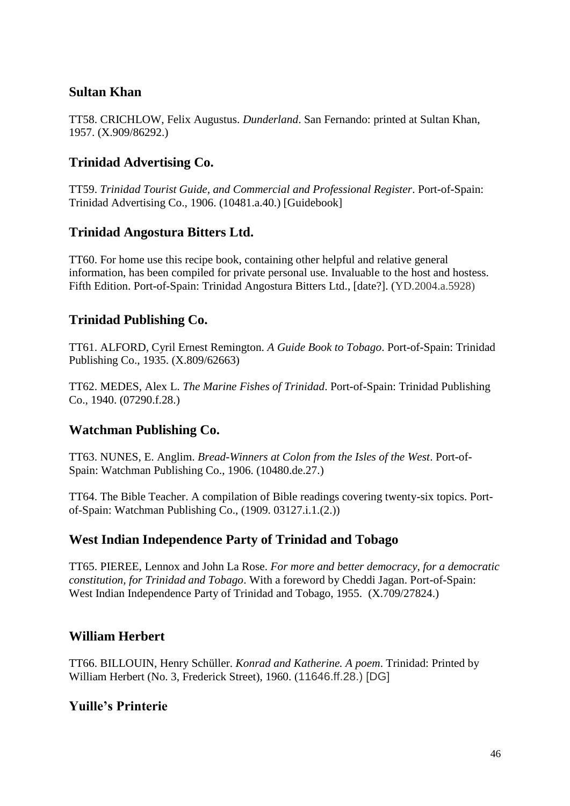# <span id="page-45-0"></span>**Sultan Khan**

TT58. CRICHLOW, Felix Augustus. *Dunderland*. San Fernando: printed at Sultan Khan, 1957. (X.909/86292.)

## <span id="page-45-1"></span>**Trinidad Advertising Co.**

TT59. *Trinidad Tourist Guide, and Commercial and Professional Register*. Port-of-Spain: Trinidad Advertising Co., 1906. (10481.a.40.) [Guidebook]

#### <span id="page-45-2"></span>**Trinidad Angostura Bitters Ltd.**

TT60. For home use this recipe book, containing other helpful and relative general information, has been compiled for private personal use. Invaluable to the host and hostess. Fifth Edition. Port-of-Spain: Trinidad Angostura Bitters Ltd., [date?]. (YD.2004.a.5928)

# <span id="page-45-3"></span>**Trinidad Publishing Co.**

TT61. ALFORD, Cyril Ernest Remington. *A Guide Book to Tobago*. Port-of-Spain: Trinidad Publishing Co., 1935. (X.809/62663)

TT62. MEDES, Alex L. *The Marine Fishes of Trinidad*. Port-of-Spain: Trinidad Publishing Co., 1940. (07290.f.28.)

#### <span id="page-45-4"></span>**Watchman Publishing Co.**

TT63. NUNES, E. Anglim. *Bread-Winners at Colon from the Isles of the West*. Port-of-Spain: Watchman Publishing Co., 1906. (10480.de.27.)

TT64. The Bible Teacher. A compilation of Bible readings covering twenty-six topics. Portof-Spain: Watchman Publishing Co., (1909. 03127.i.1.(2.))

#### <span id="page-45-5"></span>**West Indian Independence Party of Trinidad and Tobago**

TT65. PIEREE, Lennox and John La Rose. *For more and better democracy, for a democratic constitution, for Trinidad and Tobago*. With a foreword by Cheddi Jagan. Port-of-Spain: West Indian Independence Party of Trinidad and Tobago, 1955. (X.709/27824.)

# <span id="page-45-6"></span>**William Herbert**

TT66. BILLOUIN, Henry Schüller. *Konrad and Katherine. A poem*. Trinidad: Printed by William Herbert (No. 3, Frederick Street), 1960. (11646.ff.28.) [DG]

#### <span id="page-45-7"></span>**Yuille's Printerie**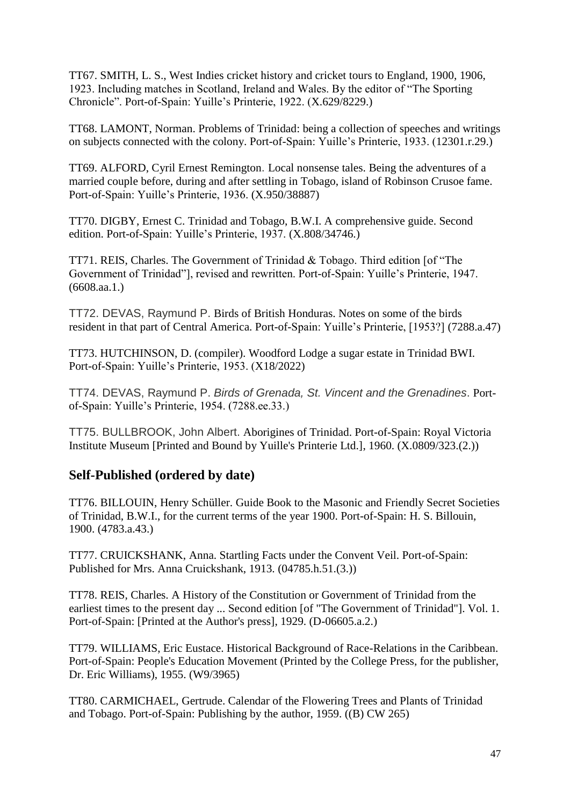TT67. SMITH, L. S., West Indies cricket history and cricket tours to England, 1900, 1906, 1923. Including matches in Scotland, Ireland and Wales. By the editor of "The Sporting Chronicle". Port-of-Spain: Yuille's Printerie, 1922. (X.629/8229.)

TT68. LAMONT, Norman. Problems of Trinidad: being a collection of speeches and writings on subjects connected with the colony. Port-of-Spain: Yuille's Printerie, 1933. (12301.r.29.)

TT69. ALFORD, Cyril Ernest Remington. Local nonsense tales. Being the adventures of a married couple before, during and after settling in Tobago, island of Robinson Crusoe fame. Port-of-Spain: Yuille's Printerie, 1936. (X.950/38887)

TT70. DIGBY, Ernest C. Trinidad and Tobago, B.W.I. A comprehensive guide. Second edition. Port-of-Spain: Yuille's Printerie, 1937. (X.808/34746.)

TT71. REIS, Charles. The Government of Trinidad & Tobago. Third edition [of "The Government of Trinidad"], revised and rewritten. Port-of-Spain: Yuille's Printerie, 1947. (6608.aa.1.)

TT72. DEVAS, Raymund P. Birds of British Honduras. Notes on some of the birds resident in that part of Central America. Port-of-Spain: Yuille's Printerie, [1953?] (7288.a.47)

TT73. HUTCHINSON, D. (compiler). Woodford Lodge a sugar estate in Trinidad BWI. Port-of-Spain: Yuille's Printerie, 1953. (X18/2022)

TT74. DEVAS, Raymund P. *Birds of Grenada, St. Vincent and the Grenadines*. Portof-Spain: Yuille's Printerie, 1954. (7288.ee.33.)

TT75. BULLBROOK, John Albert. Aborigines of Trinidad. Port-of-Spain: Royal Victoria Institute Museum [Printed and Bound by Yuille's Printerie Ltd.], 1960. (X.0809/323.(2.))

# <span id="page-46-0"></span>**Self-Published (ordered by date)**

TT76. BILLOUIN, Henry Schüller. Guide Book to the Masonic and Friendly Secret Societies of Trinidad, B.W.I., for the current terms of the year 1900. Port-of-Spain: H. S. Billouin, 1900. (4783.a.43.)

TT77. CRUICKSHANK, Anna. Startling Facts under the Convent Veil. Port-of-Spain: Published for Mrs. Anna Cruickshank, 1913. (04785.h.51.(3.))

TT78. REIS, Charles. A History of the Constitution or Government of Trinidad from the earliest times to the present day ... Second edition [of "The Government of Trinidad"]. Vol. 1. Port-of-Spain: [Printed at the Author's press], 1929. (D-06605.a.2.)

TT79. WILLIAMS, Eric Eustace. Historical Background of Race-Relations in the Caribbean. Port-of-Spain: People's Education Movement (Printed by the College Press, for the publisher, Dr. Eric Williams), 1955. (W9/3965)

TT80. CARMICHAEL, Gertrude. Calendar of the Flowering Trees and Plants of Trinidad and Tobago. Port-of-Spain: Publishing by the author, 1959. ((B) CW 265)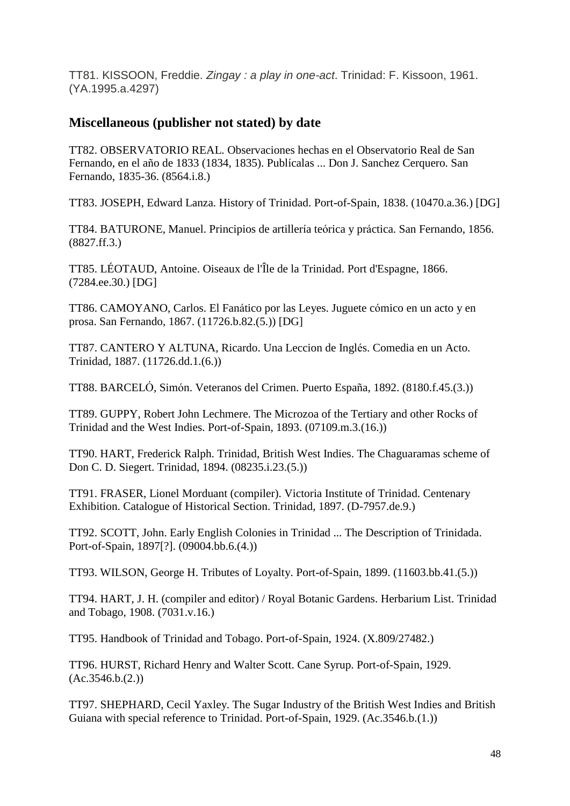TT81. KISSOON, Freddie. *Zingay : a play in one-act*. Trinidad: F. Kissoon, 1961. (YA.1995.a.4297)

## <span id="page-47-0"></span>**Miscellaneous (publisher not stated) by date**

TT82. OBSERVATORIO REAL. Observaciones hechas en el Observatorio Real de San Fernando, en el año de 1833 (1834, 1835). Publícalas ... Don J. Sanchez Cerquero. San Fernando, 1835-36. (8564.i.8.)

TT83. JOSEPH, Edward Lanza. History of Trinidad. Port-of-Spain, 1838. (10470.a.36.) [DG]

TT84. BATURONE, Manuel. Principios de artillería teórica y práctica. San Fernando, 1856. (8827.ff.3.)

TT85. LÉOTAUD, Antoine. Oiseaux de l'Île de la Trinidad. Port d'Espagne, 1866. (7284.ee.30.) [DG]

TT86. CAMOYANO, Carlos. El Fanático por las Leyes. Juguete cómico en un acto y en prosa. San Fernando, 1867. (11726.b.82.(5.)) [DG]

TT87. CANTERO Y ALTUNA, Ricardo. Una Leccion de Inglés. Comedia en un Acto. Trinidad, 1887. (11726.dd.1.(6.))

TT88. BARCELÓ, Simón. Veteranos del Crimen. Puerto España, 1892. (8180.f.45.(3.))

TT89. GUPPY, Robert John Lechmere. The Microzoa of the Tertiary and other Rocks of Trinidad and the West Indies. Port-of-Spain, 1893. (07109.m.3.(16.))

TT90. HART, Frederick Ralph. Trinidad, British West Indies. The Chaguaramas scheme of Don C. D. Siegert. Trinidad, 1894. (08235.i.23.(5.))

TT91. FRASER, Lionel Morduant (compiler). Victoria Institute of Trinidad. Centenary Exhibition. Catalogue of Historical Section. Trinidad, 1897. (D-7957.de.9.)

TT92. SCOTT, John. Early English Colonies in Trinidad ... The Description of Trinidada. Port-of-Spain, 1897[?]. (09004.bb.6.(4.))

TT93. WILSON, George H. Tributes of Loyalty. Port-of-Spain, 1899. (11603.bb.41.(5.))

TT94. HART, J. H. (compiler and editor) / Royal Botanic Gardens. Herbarium List. Trinidad and Tobago, 1908. (7031.v.16.)

TT95. Handbook of Trinidad and Tobago. Port-of-Spain, 1924. (X.809/27482.)

TT96. HURST, Richard Henry and Walter Scott. Cane Syrup. Port-of-Spain, 1929.  $(Ac.3546.b.(2))$ 

TT97. SHEPHARD, Cecil Yaxley. The Sugar Industry of the British West Indies and British Guiana with special reference to Trinidad. Port-of-Spain, 1929. (Ac.3546.b.(1.))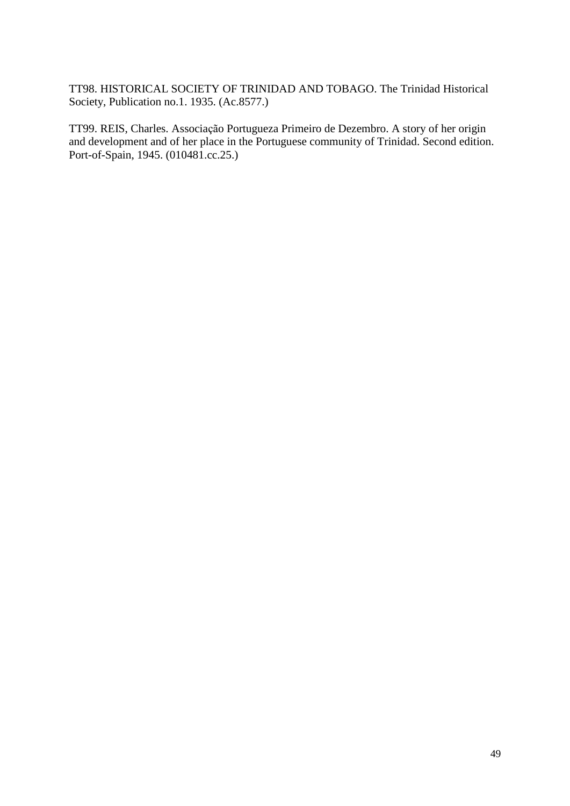TT98. HISTORICAL SOCIETY OF TRINIDAD AND TOBAGO. The Trinidad Historical Society, Publication no.1. 1935. (Ac.8577.)

TT99. REIS, Charles. Associação Portugueza Primeiro de Dezembro. A story of her origin and development and of her place in the Portuguese community of Trinidad. Second edition. Port-of-Spain, 1945. (010481.cc.25.)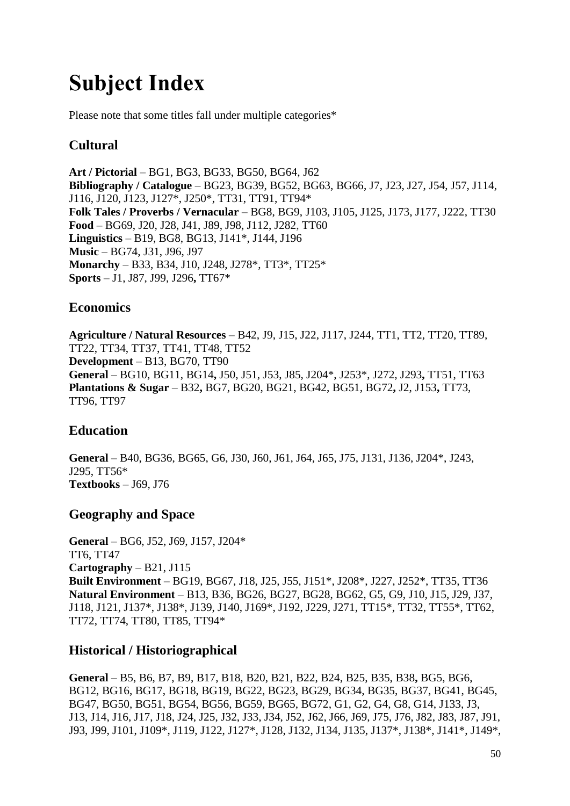# <span id="page-49-0"></span>**Subject Index**

Please note that some titles fall under multiple categories\*

# <span id="page-49-1"></span>**Cultural**

**Art / Pictorial** – BG1, BG3, BG33, BG50, BG64, J62 **Bibliography / Catalogue** – BG23, BG39, BG52, BG63, BG66, J7, J23, J27, J54, J57, J114, J116, J120, J123, J127\*, J250\*, TT31, TT91, TT94\* **Folk Tales / Proverbs / Vernacular** – BG8, BG9, J103, J105, J125, J173, J177, J222, TT30 **Food** – BG69, J20, J28, J41, J89, J98, J112, J282, TT60 **Linguistics** – B19, BG8, BG13, J141\*, J144, J196 **Music** – BG74, J31, J96, J97 **Monarchy** – B33, B34, J10, J248, J278\*, TT3\*, TT25\* **Sports** – J1, J87, J99, J296**,** TT67\*

# <span id="page-49-2"></span>**Economics**

**Agriculture / Natural Resources** – B42, J9, J15, J22, J117, J244, TT1, TT2, TT20, TT89, TT22, TT34, TT37, TT41, TT48, TT52 **Development** – B13, BG70, TT90 **General** – BG10, BG11, BG14**,** J50, J51, J53, J85, J204\*, J253\*, J272, J293**,** TT51, TT63 **Plantations & Sugar** – B32**,** BG7, BG20, BG21, BG42, BG51, BG72**,** J2, J153**,** TT73, TT96, TT97

# <span id="page-49-3"></span>**Education**

**General** – B40, BG36, BG65, G6, J30, J60, J61, J64, J65, J75, J131, J136, J204\*, J243, J295, TT56\* **Textbooks** – J69, J76

# <span id="page-49-4"></span>**Geography and Space**

**General** – BG6, J52, J69, J157, J204\* TT6, TT47 **Cartography** – B21, J115 **Built Environment** – BG19, BG67, J18, J25, J55, J151\*, J208\*, J227, J252\*, TT35, TT36 **Natural Environment** – B13, B36, BG26, BG27, BG28, BG62, G5, G9, J10, J15, J29, J37, J118, J121, J137\*, J138\*, J139, J140, J169\*, J192, J229, J271, TT15\*, TT32, TT55\*, TT62, TT72, TT74, TT80, TT85, TT94\*

# <span id="page-49-5"></span>**Historical / Historiographical**

**General** – B5, B6, B7, B9, B17, B18, B20, B21, B22, B24, B25, B35, B38**,** BG5, BG6, BG12, BG16, BG17, BG18, BG19, BG22, BG23, BG29, BG34, BG35, BG37, BG41, BG45, BG47, BG50, BG51, BG54, BG56, BG59, BG65, BG72, G1, G2, G4, G8, G14, J133, J3, J13, J14, J16, J17, J18, J24, J25, J32, J33, J34, J52, J62, J66, J69, J75, J76, J82, J83, J87, J91, J93, J99, J101, J109\*, J119, J122, J127\*, J128, J132, J134, J135, J137\*, J138\*, J141\*, J149\*,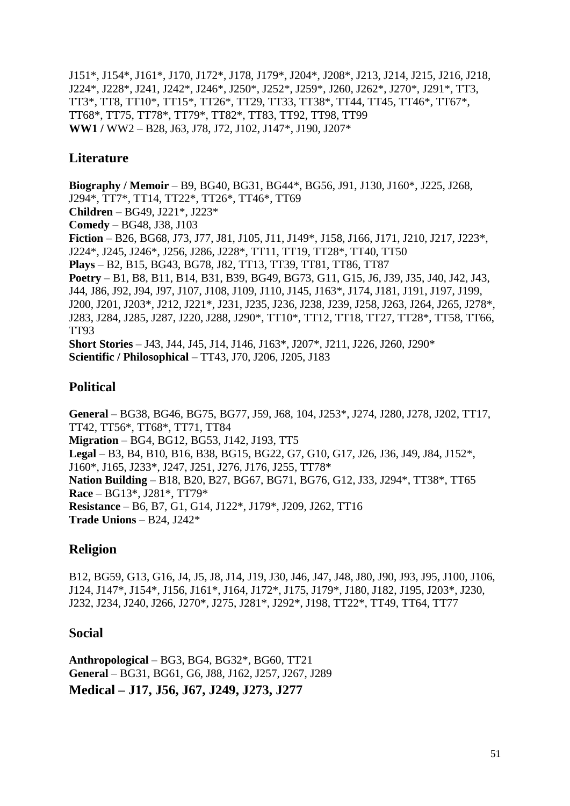J151\*, J154\*, J161\*, J170, J172\*, J178, J179\*, J204\*, J208\*, J213, J214, J215, J216, J218, J224\*, J228\*, J241, J242\*, J246\*, J250\*, J252\*, J259\*, J260, J262\*, J270\*, J291\*, TT3, TT3\*, TT8, TT10\*, TT15\*, TT26\*, TT29, TT33, TT38\*, TT44, TT45, TT46\*, TT67\*, TT68\*, TT75, TT78\*, TT79\*, TT82\*, TT83, TT92, TT98, TT99 **WW1 /** WW2 – B28, J63, J78, J72, J102, J147\*, J190, J207\*

## <span id="page-50-0"></span>**Literature**

**Biography / Memoir** – B9, BG40, BG31, BG44\*, BG56, J91, J130, J160\*, J225, J268, J294\*, TT7\*, TT14, TT22\*, TT26\*, TT46\*, TT69 **Children** – BG49, J221\*, J223\* **Comedy** – BG48, J38, J103 **Fiction** – B26, BG68, J73, J77, J81, J105, J11, J149\*, J158, J166, J171, J210, J217, J223\*, J224\*, J245, J246\*, J256, J286, J228\*, TT11, TT19, TT28\*, TT40, TT50 **Plays** – B2, B15, BG43, BG78, J82, TT13, TT39, TT81, TT86, TT87 **Poetry** – B1, B8, B11, B14, B31, B39, BG49, BG73, G11, G15, J6, J39, J35, J40, J42, J43, J44, J86, J92, J94, J97, J107, J108, J109, J110, J145, J163\*, J174, J181, J191, J197, J199, J200, J201, J203\*, J212, J221\*, J231, J235, J236, J238, J239, J258, J263, J264, J265, J278\*, J283, J284, J285, J287, J220, J288, J290\*, TT10\*, TT12, TT18, TT27, TT28\*, TT58, TT66, TT93 **Short Stories** – J43, J44, J45, J14, J146, J163\*, J207\*, J211, J226, J260, J290\* **Scientific / Philosophical** – TT43, J70, J206, J205, J183

#### <span id="page-50-1"></span>**Political**

**General** – BG38, BG46, BG75, BG77, J59, J68, 104, J253\*, J274, J280, J278, J202, TT17, TT42, TT56\*, TT68\*, TT71, TT84 **Migration** – BG4, BG12, BG53, J142, J193, TT5 **Legal** – B3, B4, B10, B16, B38, BG15, BG22, G7, G10, G17, J26, J36, J49, J84, J152\*, J160\*, J165, J233\*, J247, J251, J276, J176, J255, TT78\* **Nation Building** – B18, B20, B27, BG67, BG71, BG76, G12, J33, J294\*, TT38\*, TT65 **Race** – BG13\*, J281\*, TT79\* **Resistance** – B6, B7, G1, G14, J122\*, J179\*, J209, J262, TT16 **Trade Unions** – B24, J242\*

# <span id="page-50-2"></span>**Religion**

B12, BG59, G13, G16, J4, J5, J8, J14, J19, J30, J46, J47, J48, J80, J90, J93, J95, J100, J106, J124, J147\*, J154\*, J156, J161\*, J164, J172\*, J175, J179\*, J180, J182, J195, J203\*, J230, J232, J234, J240, J266, J270\*, J275, J281\*, J292\*, J198, TT22\*, TT49, TT64, TT77

#### <span id="page-50-3"></span>**Social**

<span id="page-50-4"></span>**Anthropological** – BG3, BG4, BG32\*, BG60, TT21 **General** – BG31, BG61, G6, J88, J162, J257, J267, J289 **Medical – J17, J56, J67, J249, J273, J277**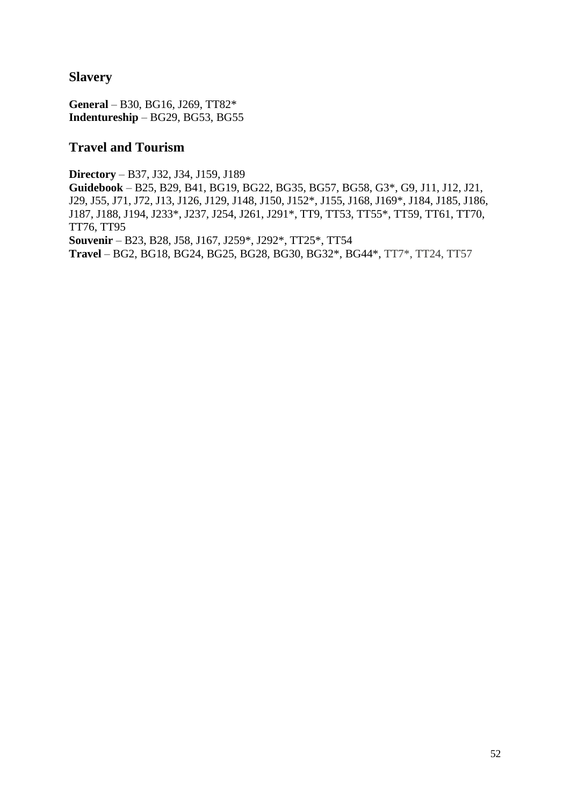#### <span id="page-51-0"></span>**Slavery**

**General** – B30, BG16, J269, TT82\* **Indentureship** – BG29, BG53, BG55

#### <span id="page-51-1"></span>**Travel and Tourism**

**Directory** – B37, J32, J34, J159, J189 **Guidebook** – B25, B29, B41, BG19, BG22, BG35, BG57, BG58, G3\*, G9, J11, J12, J21, J29, J55, J71, J72, J13, J126, J129, J148, J150, J152\*, J155, J168, J169\*, J184, J185, J186, J187, J188, J194, J233\*, J237, J254, J261, J291\*, TT9, TT53, TT55\*, TT59, TT61, TT70, TT76, TT95 **Souvenir** – B23, B28, J58, J167, J259\*, J292\*, TT25\*, TT54 **Travel** – BG2, BG18, BG24, BG25, BG28, BG30, BG32\*, BG44\*, TT7\*, TT24, TT57